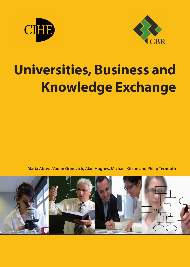



# **Universities, Business and Knowledge Exchange**

**Maria Abreu, Vadim Grinevich, Alan Hughes, Michael Kitson and Philip Ternouth**

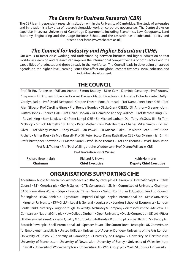## *The Centre for Business Research (CBR)*

The CBR is an independent research institution within the University of Cambridge. The study of enterprise and innovation is a key area of research alongside work on corporate governance. The Centre draws on expertise in several University of Cambridge Departments including Economics, Law, Geography, Land Economy, Engineering and the Judge Business School, and the research has a substantial policy and practitioner focus (www.cbr.cam.ac.uk).

## *The Council for Industry and Higher Education (CIHE)*

Our aim is to foster close working and understanding between business and higher education so that world-class learning and research can improve the international competitiveness of both sectors and the capabilities of graduates and those already in the workforce. The Council leads in developing an agreed agenda on the higher level learning issues that affect our global competitiveness, social cohesion and individual development.

## **THE COUNCIL**

Prof Sir Roy Anderson • William Archer • Simon Bradley • Mike Carr • Dominic Casserley • Prof Antony Chapman • Dr Andrew Cubie • Sir Howard Davies • Martin Davidson • Dr Annette Doherty • Peter Duffy • Carolyn Eadie • Prof David Eastwood • Gordon Frazer • Rona Fairhead • Prof Dame Janet Finch CBE • Prof Alan Gilbert • Prof Caroline Gipps • Prof Brenda Gourley • Olivia Grant OBE DL • Sir Anthony Greener • John Griffith-Jones • Charles Hall • Prof Deian Hopkin • Dr Geraldine Kenney-Wallace • Prof Bernard King CBE • Russell King • Sam Laidlaw • Sir Peter Lampl OBE • Sir Michael Latham DL • Terry McGraw III • Sir Tom McKillop • Sir Rob Margetts CBE FEng • Peter Mather • Tim Melville-Ross • Charles Miller Smith • Richard Olver • Prof Shirley Pearce • Andy Powell • Ian Powell • Sir Michael Rake • Dr Martin Read • Prof Alison Richard • James Ross • Sir Muir Russell • Prof Sir Peter Scott • Dame Ruth Silver CBE • Paul Skinner • Ian Smith Prof Christopher Snowden • Sir Martin Sorrell • Prof Elaine Thomas • Prof Eric Thomas • David Thomlinson

Prof Rick Trainor • Prof Paul Wellings • John Widdowson • Prof Dianne Willcocks CBE

Prof Tim Wilson • Nick Winser

| Chairman                  | <b>Chief Executive</b> | <b>Deputy Chief Executive</b> |
|---------------------------|------------------------|-------------------------------|
| <b>Richard Greenhalgh</b> | Richard A Brown        | Keith Hermann                 |

## **ORGANISATIONS SUPPORTING CIHE**

Accenture • Anglo American plc • AstraZeneca plc • BAE Systems plc • BG Group • BP International plc • British Council • BT • Centrica plc • City & Guilds • CITB-Construction Skills • Committee of University Chairmen EADS Innovation Works • Edge • Financial Times Group • Guild HE • Higher Education Funding Council for England • HSBC Bank plc • i-graduate • Imperial College • Kaplan International Ltd • Keele University • Kingston University • KPMG LLP • Legal & General • Logica plc • London School of Economics • London South Bank University • Loughborough University • McKinsey & Company • Microsoft Limited • McGraw Hill Companies • National Grid plc • New College Durham • Open University • Oracle Corporation UK Ltd • Pfizer UK• PricewaterhouseCoopers • Quality & Curriculum Authority • Rio Tinto plc • Royal Bank of Scotland plc • Scottish Power plc • Shell International Ltd • Spencer Stuart • The Sutton Trust • Tesco plc • UK Commission for Employment and Skills • United Utilities • University of Abertay Dundee • University of the Arts London University of Bristol • University of Cambridge • University of Glasgow • University of Hertfordshire University of Manchester • University of Newcastle • University of Surrey • University of Wales Institute Cardiff • University of Wolverhampton •• Universities UK • WPP Group plc • York St John's University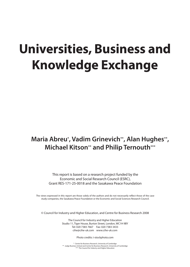## **Universities, Business and Knowledge Exchange**

## Maria Abreu\*, Vadim Grinevich\*\*, Alan Hughes\*\*, **Michael Kitson\*\* and Philip Ternouth\*\*\***

This report is based on a research project funded by the Economic and Social Research Council (ESRC), Grant RES-171-25-0018 and the Sasakawa Peace Foundation

The views expressed in this report are those solely of the authors and do not necessarily reflect those of the case study companies, the Sasakawa Peace Foundation or the Economic and Social Sciences Research Council.

© Council for Industry and Higher Education, and Centre for Business Research 2008

The Council for Industry and Higher Education Studio 11, Tiger House, Burton Street, London, WC1H 9BY Tel: 020 7383 7667 Fax: 020 7383 3433 cihe@cihe-uk.com www.cihe-uk.com

Photo credits: i-stockphoto.com

\* Centre for Business Research, University of Cambridge \*\* Judge Business School and Centre for Business Research, University of Cambridge \*\*\* The Council for Industry and Higher Education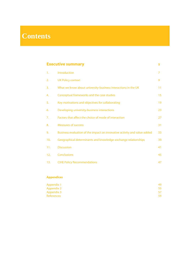## **Contents**

### **Executive summary 5**

| 1.  | Introduction                                                             | 7  |
|-----|--------------------------------------------------------------------------|----|
| 2.  | <b>UK Policy context</b>                                                 | 9  |
| 3.  | What we know about university-business interactions in the UK            | 11 |
| 4.  | Conceptual frameworks and the case studies                               | 15 |
| 5.  | Key motivations and objectives for collaborating                         | 19 |
| 6.  | Developing university-business interactions                              | 23 |
| 7.  | Factors that affect the choice of mode of interaction                    | 27 |
| 8.  | <b>Measures of success</b>                                               | 31 |
| 9.  | Business evaluation of the impact on innovative activity and value-added | 33 |
| 10. | Geographical determinants and knowledge-exchange relationships           | 39 |
| 11. | <b>Discussion</b>                                                        | 41 |
| 12. | <b>Conclusions</b>                                                       | 45 |
| 13. | <b>CIHE Policy Recommendations</b>                                       | 47 |

### **Appendices**

| Appendix 1        | 49 |
|-------------------|----|
| Appendix 2        | 55 |
| Appendix 3        | 57 |
| <b>References</b> | 59 |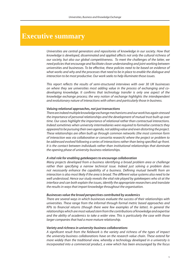## **Executive summary**

*Universities are central generators and repositories of knowledge in our society. How that*  knowledge is developed, disseminated and applied affects not only the cultural richness of *our society, but also our global competitiveness. To meet the challenges of the latter, we need policies that encourage and facilitate closer understanding and joint working between*  universities and businesses. To be effective, these policies need to be based on evidence of *what works and why and the processes that need to be in place to enable the dialogue and interaction to be most productive. Our work seeks to help illuminate those issues.* 

This report reflects the results of semi-structured interviews with over 30 UK businesses *on where they see universities most adding value in the process of exchanging and codeveloping knowledge. It confirms that technology transfer is only one aspect of the knowledge exchange process; the very notion of exchange highlights the interdependent and evolutionary nature of interactions with others and particularly those in business.* 

### *Valuing relational approaches, not just transactions*

*There are indeed multiple knowledge exchange mechanisms and our work has again stressed the importance of personal relationships and the development of mutual trust built up over time. Our cases highlight the importance of relational rather than contractual interactions. Indeed sometimes when university intermediaries were required to formalise contracts they appeared to be pursuing their own agenda, not adding value and even distorting the project. These relationships are often built up through common networks (the most common form of interaction was via collaborative or consortia research) where the project or problem to*  be addressed evolved following a series of interactions rather than being specified up-front. *It is the contact between individuals rather than institutional relationships that dominate the opening phase of university-business relationships.*

### *A vital role for enabling gatekeepers to encourage collaboration*

*Many projects developed from a business identifying a broad problem area or challenge rather than specifying a narrow technical issue. Indeed just solving a problem does*  not necessarily enhance the capability of a business. Defining mutual benefit from an *interaction is also most likely if the area is broad. The different value systems also need to be well understood. Hence our study reveals the vital role played by gatekeepers who sit at the interface and can both explain the issues, identify the appropriate researchers and translate the results in ways that impart knowledge throughout the organisation.* 

### *Businesses value the broad perspectives contributed by academics*

*There are several ways in which businesses evaluate the success of their relationships with universities. These range from the informal through formal metric based approaches and KPIs to financial returns (though there were few examples of the latter). In general the relationships which are most valued stem from the contributions of knowledge and expertise and the ability of academics to take a wider view. This is particularly the case with those larger companies that had a more mature relationship.*

### *Variety and richness in university-business collaborations*

*A signicant result from the eldwork is the variety and richness of the types of impact the university-business collaborations have on the research value chain. These extend far more widely than the traditional view, whereby a technology developed in a university is incorporated into a commercial product, a view which has been encouraged by the focus*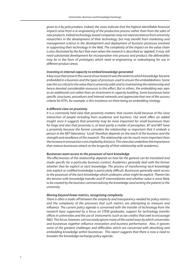given to it by policymakers. Indeed, the cases indicate that the highest identifiable financial *impacts arise from a re-engineering of the production process rather than from the sales of new products. Indeed technology-based companies may not need assistance from university researchers in the development of their technology, but may benefit from marketing and management science in the development and deployment of business processes involved in supporting their technology in the field. The complexity of the impact on the value chain* is also illustrated by the fact that even when the research is described as 'applied', it may still *need substantial development for incorporation into process and product; the deliverables may be in the form of prototypes which need re-engineering or redeveloping for use in*   $d$ *ifferent product areas.* 

### *Investing in internal capacity to embed knowledge generated*

*A key issue that arose in the course of our research was the extent to which knowledge became embedded in a business and the types of processes used to ensure this embeddedness. Some saw this as critical to the value that a university adds and to maintaining the relationship and hence devoted considerable resources to this effort. But in others, the embedding was seen as an additional cost rather than an investment in capacity building. Some businesses have*  specific structures, procedures and internal networks and appreciate that one of the success *criteria for KTPs, for example, is this insistence on there being an embedding strategy.*

### *A dierent view on proximity*

*It is a commonly held view that proximity matters; that clusters build because of the close interaction of people including from academia and business. Our work offers an added insight since it suggests that proximity may be more important for small businesses than for large and also that proximity is, at least partly a matter of perception. BT and MIT have a proximity because the former considers the relationship so important that it embeds a person in the MIT laboratory. 'Local' therefore depends on the reach of the business and the strength and excellence of the research. The relationship can be much more important than the increase in transaction costs implied by distance. This view also underlines the importance that mature businesses attach to the longevity of their relationship with academics.*

### *Businesses want access to the possessor of tacit knowledge*

The effectiveness of the relationship depends on how far the general can be translated and *made specific for a particular business context. Academics generally deal with the former whether that be explicit or tacit knowledge. The process of transforming tacit knowledge*  into explicit or codified knowledge is particularly difficult. Businesses generally want access *to the possessor of the tacit knowledge which underpins what might be explicit. Therein lies the tension with knowledge transfer and IP intermediaries and whether value is most likely to be created by the business commercialising the knowledge (and writing the patent) or the university.*

### *Moving beyond linear metrics, recognising complexity*

There is often a trade-off between the simplicity and transparency needed for policy metrics *and the complexity of the processes that such metrics are attempting to measure and influence. The current policy agenda is concerned with the transfer of technology from the research base supported by a focus on STEM graduates, support for technology transfer oces in universities and the use of instruments (such as tax credits) that seek to encourage R&D. This focus, however, can too easily ignore many of the varied ways by which universities and businesses together influence innovation and business performance. Also, it ignores* some of the greatest challenges and difficulties which are concerned with absorbing and *embedding knowledge within businesses. This report suggests that there is now a need to broaden the knowledge exchange policy agenda.*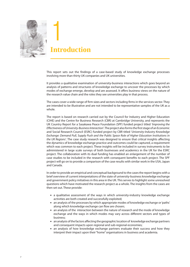

## **Introduction**

This report sets out the findings of a case-based study of knowledge exchange processes involving more than thirty UK companies and UK universities.

It provides a qualitative examination of university-business interactions which goes beyond an analysis of patterns and structures of knowledge exchange to uncover the processes by which modes of exchange emerge, develop and are assessed. It offers business views on the nature of the research value chain and the roles they see universities play in that process.

The cases cover a wide range of firm sizes and sectors including firms in the services sector. They are intended to be illustrative and are not intended to be representative samples of the UK as a whole.

The report is based on research carried out by the Council for Industry and Higher Education (CIHE) and the Centre for Business Research (CBR) at Cambridge University, and represents the UK Country Report for a Sasakawa Peace Foundation (SPF) funded project titled *'Improving the Effectiveness of University-Business Interaction'*. The project also forms the first stage of an Economic and Social Research Council (ESRC) funded project by CBR titled *'University-Industry Knowledge Exchange: Demand Pull, Supply Push and the Public Space Role of Higher Education Institutions in the UK Regions'*. The case study research was designed to ensure that critical insights affecting the dynamics of knowledge exchange practice and outcomes could be captured, a requirement which was common to each project. These insights will be included in survey instruments to be administered in large scale surveys of both businesses and academics in the UK for the ESRC project. The collaboration with its dual funding has enabled an enlargement of the number of case studies to be included in the research with consequent benefits to each project. The SPF project will go on to provide a comparison of the case results with similar work in the USA, Japan and Canada.

In order to provide an empirical and conceptual background to the cases the report begins with a brief overview of current interpretations of the state of university-business knowledge exchange and government policy initiatives in this area in the UK. This serves to highlight some unresolved questions which have motivated the research project as a whole. The insights from the cases are then set out. These provide:

- **•** a qualitative assessment of the ways in which university-industry knowledge exchange activities are both created and successfully exploited;
- an analysis of the processes by which appropriate modes of knowledge exchange or 'paths' along which knowledge exchange can flow are chosen;
- an analysis of the interaction between the nature of research and the mode of knowledge exchange and the ways in which modes may vary across different sectors and types of business;
- $\blacksquare$  an analysis of the factors affecting the geographic location of knowledge exchange partners and consequent impacts upon regional and sub-regional economies;
- **•** an analysis of how knowledge exchange partners evaluate their success and how they interpret their impact upon their "home" organisations in business and academia.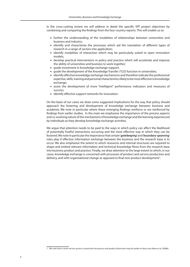In the cross-cutting review we will address in detail the specific SPF project objectives by combining and comparing the findings from the four country reports. This will enable us to:

- **.** further the understanding of the modalities of relationships between universities and business and industry;
- identify and characterise the processes which aid the translation of different types of research in a range of sectors into application;
- **Example 1** identify modalities of interaction which may be particularly suited to open innovation models;
- develop practical interventions in policy and practice which will accelerate and improve the ability of universities and business to work together;
- quide investment in knowledge exchange support;
- quide the development of the Knowledge Transfer (TLO) function in universities;
- $\blacksquare$  identify effective knowledge exchange mechanisms and therefore indicate the professional expertise, skills, training and personal characteristics likely to be most effective in knowledge exchange;
- assist the development of more "intelligent" performance indicators and measures of success;
- **■** identify effective support networks for innovation.

On the basis of our cases we draw some suggested implications for the way that policy should approach the fostering and development of knowledge exchange between business and academia. We note in particular where these emerging findings reinforce or are reinforced by findings from earlier studies. In the main we emphasise the importance of the process aspects and co-evolving nature of the mechanisms of knowledge exchange and the learning experienced by individuals as they develop knowledge exchange activities.

We argue that attention needs to be paid to the ways in which policy can affect the likelihood of potentially fruitful interactions occurring and the most effective way in which they can be fostered. We note in particular the importance that certain '*gatekeeping*' and '*boundary-spanning*' roles play if effective information exchange between the business and the research base is to occur. We also emphasise the extent to which resources and internal structures are required to shape and embed relevant information and technical knowledge flows from the research base into business product and practice. Finally, we draw attention to the large extent to which, in our cases, knowledge exchange is concerned with processes of product and service production and delivery, and with organisational change as opposed to final new product development<sup>1</sup>.

<sup>1</sup> We note that in some service sectors in particular the process and product distinction may be harder to draw (see Abreu et al, 2008b).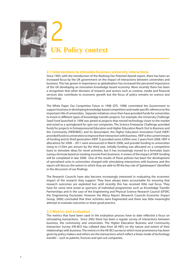

# **UK Policy context** 2

### **2.1 Interventions to stimulate business university interactions**

Since 1993, with the introduction of the *Realising Our Potential Awards* report, there has been an increased focus by the UK government on the impact of interactions between universities and business. This has grown in importance as globalisation has increased the perceived importance of the UK developing an innovative knowledge based economy. More recently there has been a recognition that other domains of research and sectors such as creative, media and financial services also contribute to economic growth but the focus of policy remains on science and technology.

The White Paper *Our Competitive Future* in 1998 (DTI, 1998) committed the Government to support business in developing knowledge based competition and made specific reference to the important rôle of universities. Separate initiatives since then have provided funds for universities to invest in different types of knowledge transfer projects. For example, the University Challenge Seed Fund launched in 1998 was aimed at projects that moved technology closer to the market and acted as a springboard for spin out companies. The Science Enterprise Challenge provided funds for projects in Entrepreneurial Education and Higher Education Reach Out to Business and the Community (HEROBAC) and its descendant, the Higher Education Innovation Fund (HEIF) provided funds to universities to improve their interaction with business. HEIF is the current means of funding and its third generation (HEIF 3) provided some £200m over 2 years from 2006. HEIF 4 allocations for 2008 – 2011 were announced in March 2008, and provide funding to universities rising to £150m per annum by the third year. Initially funding was allocated on a competitive basis to stimulate ideas for novel activities, but it has increasingly moved to a formulaic basis (using a formula based on existing income from business). A review of the impact of HEIF funding will be completed in late 2008. One of the results of these policies has been the development of specialised units in universities charged with stimulating interactions with business and this report will discuss the extent to which they are able to fill the key role of "gatekeepers" identified in the discussion of our findings.

The Research Councils have also become increasingly interested in evaluating the economic impact of the research they support. They have always been accountable for ensuring that research outcomes are exploited but until recently this has received little real focus. They have for some time acted as sponsors of individual programmes such as Knowledge Transfer Partnerships and in the case of the Engineering and Physical Science Research Council (EPSRC the 'Engineering Doctorate'. However the Warry Report (Research Councils Economic Impact Group, 2006) concluded that their activities were fragmented and there was little meaningful attempt to evaluate outcomes or share good practice.

### **2.2 Metrics and evaluation**

The metrics that have been used in the evaluation process have to date reflected a focus on stimulating transactions. Since 2002 there has been a regular survey of interactions between business, the community and universities. The Higher Education Business and Community Interaction Survey (HE-BCI) has collated data from all HEI's on the nature and extent of their relationships with business. The metrics in the HE-BCI survey to which most prominence has been given by policy makers and others are the transactions which reflect a linear mode of technology transfer – such as patents, licences and spin out companies.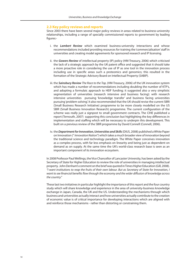### **2.3 Key policy reviews and reports**

Since 2003 there have been several major policy reviews in areas related to business-university relationships, including a range of specially commissioned reports to government by leading figures:-

- i. the Lambert Review which examined business-university interactions and whose recommendations included providing resources for training the 'commercialisation' staff in universities and creating model agreements for sponsored research and IP licensing.
- ii. the Gowers Review of intellectual property (IP) policy (HM-Treasury, 2006) which criticised the lack of a strategic approach by the UK patent office and suggested that it should take a more proactive role in considering the use of IP as one tool in the innovation process including use in specific areas such a proteomics and genomics; this resulted in the formation of the Strategic Advisory Board on Intellectual Property (SABIP).
- iii. the *Sainsbury Review The Race to the Top*, (HM-Treasury, 2006) of the UK innovation system which has made a number of recommendations including doubling the number of KTP's, and adopting a formulaic approach to HEIF funding; it suggested also a very simplistic segmentation of universities (research intensive and business facing): with research intensive universities pursuing 'knowledge transfer' and business facing universities pursuing 'problem solving'. It also recommended that the UK should revise the current SBRI (Small Business Research Initiative) programme to be more closely modelled on the US SBIR (Small Business Innovation Research) programme. The current configuration of the scheme was really just a signpost to small government contracts. The CIHE published a report(Ternouth, 2007) supporting this conclusion but highlighting the key differences in implementation and staffing which will be necessary to underpin this development. This built on a previous review of the SBIR programme by David Connell (Connell, 2006).
- iv. the Department for Innovation, Universities and Skills (DIUS, 2008) published a White Paper on Innovation (" *Innovation Nation")* which takes a much broader view of innovation beyond the traditional science and technology paradigm. The White Paper conceives innovation as a complex process, with far less emphasis on linearity and being just as dependent on demand as on supply. At the same time the UK's world-class research base is seen as an important component of its innovation ecosystem.

In 2008 Professor Paul Wellings, the Vice Chancellor of Lancaster University, has been asked by the Secretary of State for Higher Education to review the role of universities in managing intellectual property. John Denham's comment on the brief was quoted in Times Higher Education (Gill, 2008). *"I want institutions to reap the fruits of their own labour. But as Secretary of State for Innovation, I*  want to see financial benefits flow through the economy and the wider diffusion of knowledge across *the country."*

These last two initiatives in particular highlight the importance of this report and the four country study which will share knowledge and experience in the area of university-business knowledge exchange in Japan, Canada, the UK and the US. Understanding the mechanisms through which business and universities actually interact and how universities actually contribute to the creation of economic value is of critical importance for developing interactions which are aligned with and reinforce those mechanisms - rather than distorting or constraining them.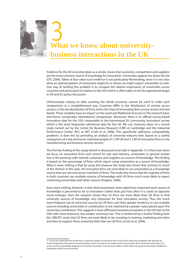

Evidence for the UK economy taken as a whole, shows that customers, competitors and suppliers are the most common source of knowledge for innovation. Universities appear low down the list (DTI, 2006). Taken at face value such evidence is not particularly illuminating, since it is not clear what an optimal pattern of interaction might be or where we might expect universities to rank. One way of tackling this problem is to compare the relative importance of universities across countries and particularly in relation to the USA which is often taken to be the aspirational target in UK and EU policy discussion.

Unfortunately relying on data covering the whole economy cannot be used to make such comparisons in a straightforward way. Countries differ in the distribution of activity across sectors, in the size distribution of firms and in the share of innovating firms across sectors and size bands. These variables have an impact on the need and likelihood of access to the research base, and hence complicates international comparisons. Moreover, there is no official survey-based innovation data for the USA comparable to the harmonised EU community innovation survey which is the most frequently referenced data for the UK. We can, however, draw on a recent study carried out by the Centre for Business Research (CBR) at Cambridge and the Industrial Performance Center (IPC) at MIT (Cosh et al, 2006). This specifically addresses comparability problems. It does this by providing an analysis of university-industry links based on a careful comparison of a size and sector matched sample of 1,149 UK and 1,149 US innovative firms in the manufacturing and business service sectors.<sup>2</sup>

The first key finding of this study (which is discussed more fully in Appendix 1) is that even when we focus on innovative firms and control for size and industry, universities in general remain low in the pecking order behind customers and suppliers as sources of knowledge. This finding is based on the percentage of firms which report using universities as a source of knowledge. What is more striking is that by using this measure the study also shows that contrary to much of the rhetoric in this area, UK innovative firms are *more likely* to use universities as a knowledge source than are size and sector matched US firms. The study also shows that the majority of firms in both countries use multiple sources of knowledge with UK firms much more likely to report combining universities with other sources (Hughes, 2008).

Even more striking, however, is that when businesses were asked how important each source of knowledge is perceived to be to innovation (rather than just how often it is used) an opposite result emerges. Here the research shows that US firms are more likely than UK firms to find university sources of knowledge very important for their innovative activity. Thus the much more frequent use of university sources by UK firms and their greater tendency to use multiple sources including universities in combination is not matched by a greater value placed upon the university contribution. This suggests a more diffused innovation ecosystem in the UK than in the USA with more extensive, but weaker university ties. This is reinforced by a further finding from the CBR/IPC study that US firms are more likely to be investing in training, marketing and other activities to support these university links than are UK firms (Cosh et al, 2006).

<sup>2</sup> It must be noted that the results from a matched sample of innovative firms of this kind cannot be compared with grossed up results designed to illustrate the overall position in each country for innovative and non-innovative firms of all sizes and sectors. It is on the contrary specifically designed to control for innovation size and sector effects which make such grossed up results unhelpful in comparing results across countries.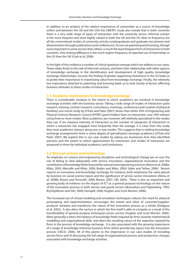In addition to an analysis of the relative importance of universities as a source of knowledge within and between the UK and the USA the CBR/IPC study also reveals that in both countries there is a very wide range of types of interaction with the university sector. Informal contact is the most frequent and most highly valued in both the UK and the US. Next in frequency are all the conventional modes of university activity (undergraduate and graduate recruitment and dissemination through publications and conferences). Access via patenting and licensing, though more important in some sectors than others, is much the least frequent form of interaction in both countries. One striking difference is the much higher frequency of reported use of internships in the US than the UK (Cosh et al, 2006).

In the light of this evidence a number of critical questions emerge which we address in our cases. These relate firstly to the role of informal contacts, and their inter-relationship with other aspects of knowledge exchange in the identification and development of high quality knowledge exchange relationships. Second, the finding of greater supporting investment in the US leads us to probe their importance in maximizing value from knowledge exchange. Finally, the relatively low importance attached to patenting and licensing leads us to look closely at factors affecting business attitudes to these modes of interaction.

### **3.1 Academic involvement in knowledge exchange**

There is considerable variation in the extent to which academics are involved in knowledge exchange activities with the business sector. Taking a wide range of modes of interaction (joint research, training, contract research, consultancy, meetings, conferences and creation of physical facilities) one recent study by D'Este and Patel (2007) shows that whilst 30% of Engineering and Physical Sciences Research Council (EPSRC) grant holders have no interaction, over 50% interact using three or more modes. Most academics are, however, still relatively specialised in the modes they use. If we measure intensity of interaction as the number of categories of interaction in which a researcher has engaged most frequently than the average, it is clear from this study that most academics interact along one or two modes. This suggests that in making knowledge exchange arrangements there is some degree of specialisation amongst academics (D'Este and Patel, 2007). We explore this in our case studies by asking our businesses how they identified partners and the extent to which opportunities for interaction and modes of interaction are proposed to them by individual academics and institutions.

### **3.2 Not just science and technology**

An emphasis on science and engineering disciplines and technological change per se runs the risk of failing to deal adequately with service innovation, organisational innovation and the contribution of knowledge fields beyond the natural and engineering sciences (Abreu et al, 2008a; Miles, 2005; Metcalfe and Miles, 2000; Boden and Miles, 2000; Salter and Tether, 2006). Recent reports on innovation and knowledge exchange, for instance, both emphasise the value placed by business on social science inputs and the significance of service sector innovation (Abreu et al, 2008b, Brown and Ternouth, 2006; Brown, 2007; CBI, 2005). There is also an important and growing body of evidence on the impact of ICT as a general purpose technology on the nature of the innovation process in both service and goods sectors (Bresnahan and Trajtenberg, 1995; Brynhjolfsson and Hitt, 2000; Hempell, 2006; Hughes and Scott Morton, 2006).

The increased use of virtual modeling and simulation techniques reduces the need for physical prototyping and experimentation, encourages the extent and value of customer/supplier/ producer iteration and transforms the nature of the innovation process as a whole (Dodgson et al, 2005). It also alters the sectors in which the firm itself is able to compete as a result of the transferability of general purpose techniques across sectors (Hughes and Scott Morton, 2006). More generally it alters the balance of knowledge fields required by firms towards mathematical modelling and organisational skills, and alters the resulting nature of the expertise required by firms in the process of knowledge exchange. It is also associated with the growing importance of a range of knowledge-intensive business firms which provide key inputs into the innovation process (OECD, 2006). All of this points to the importance in our case studies of including service firms and of discussing the full range of organisational process and production changes associated with knowledge exchange activities.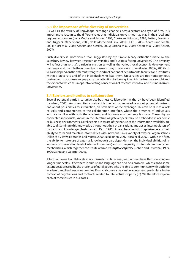### **3.3 The importance of the diversity of universities**

As well as the variety of knowledge-exchange channels across sectors and type of firm, it is important to recognise the different roles that individual universities may play in their local and regional economies (de la Mothe and Paquet, 1998; Cooke and Morgan, 1998; Rutten, Boekema and Kuijpers, 2005; Shane, 2005; de la Mothe and Link, 2002; HEFCE, 2006, Adams and Smith, 2004; Niosi et al, 2005; Asheim and Gertler, 2005; Corona et al, 2006; Kitson et al, 2006; Kitson, 2007).

Such diversity is more varied than suggested by the simple binary distinction made by the Sainsbury Review between 'research universities' and 'business-facing universities'. The diversity will reflect a university's particular mission as well as the various local economic development pathways, and the role the university chooses to play in relation to them (Lester 2005a, 2005b). It will also depend on the different strengths and inclinations of departments, faculties and institutes within a university and of the individuals who lead them. Universities are not homogeneous businesses. In our cases we pay particular attention to the way in which partners are sought and the extent to which this maps into existing conceptions of research intensive and business driven universities.

### **3.4 Barriers and hurdles to collaboration**

Several potential barriers to university-business collaboration in the UK have been identified (Lambert, 2003). An often cited constraint is the lack of knowledge about potential partners and about possibilities for interaction, on both sides of the exchange. This can be due to a lack of skills and competences at the collaboration interface, where the presence of individuals who are familiar with both the academic and business environments is crucial. These highlyconnected individuals, known in the literature as 'gatekeepers', may be embedded in academic or business environments. Gatekeepers are aware of the nature of the information available, are able to disseminate this knowledge throughout their organisations, and act as 'intermediators of contacts and knowledge' (Tushman and Katz, 1980). A key characteristic of gatekeepers is their ability to form and maintain informal ties with individuals in a variety of external organisations (Allen et al, 1979; Edmunds and Morris, 2000; Nikolainen, 2007; Sosa et al, 2002). Within the firm, the ability to make use of external knowledge is also dependent on the individual abilities of its workers, on the existing level of internal 'know-how', and on the quality of internal communication mechanisms, which together constitute a firm's *absorptive capacity* (Cohen and Levinthal, 1989, 1990; Zahra and George, 2002).

A further barrier to collaboration is a mismatch in time lines, with universities often operating on longer time scales. Differences in culture and language can also be a problem, which can to some extent be addressed by the presence of gatekeepers who are able to communicate with both the academic and business communities. Financial constraints can be a deterrent, particularly in the context of negotiations and contracts related to Intellectual Property (IP). We therefore explore each of these issues in our cases.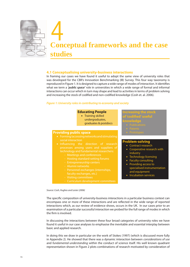

### **4.1 Conceptualising university-business interactions**

In framing our cases we have found it useful to adopt the same view of university roles that was developed for the CBR's Innovation Benchmarking (IB) Survey. This four way taxonomy is reproduced in Figure 1. It is designed to capture a wide range of modes of interaction. It identifies what we term a *'public space'* role in universities in which a wide range of formal and informal interactions can occur which in turn may shape and lead to activities in terms of problem solving and increasing the stock of codified and non-codified knowledge (Cosh et. al. 2006).

### *Figure 1: University roles in contributing to economy and society*

| <b>Educating People</b> |  |
|-------------------------|--|
|                         |  |

**·** Training skilled undergraduates, graduates & postdocs

### **Providing public space**

- social interaction
- processes among users and suppliers of
	-
	-
	- Entrepreneurship centers
	-
	- Personnel exchanges (internships, faculty exchanges, etc.)
	-
	-

### **Increasing the stock**

- 
- **knowledge**
	-
	-
	-

### **Problem-solving**

- Contract research
- Cooperative research with industry
- Technology licensing
- Faculty consulting
- Providing access to
- specialised instrumentation and equipment
- **·** Incubation services

*Source: Cosh, Hughes and Lester (2006)*

The specific composition of university-business interactions in a particular business context can encompass one or more of these interactions and are reflected in the wide range of reported interactions which, as our review of evidence shows, occurs in the UK. In our cases prior to an examination of a particular successful interaction we probed for the full range of modes in which the firm is involved.

In discussing the interactions between these four broad categories of university roles we have found it useful in our case analyses to emphasise the inevitable and essential interplay between basic and applied research.

In doing this we draw in particular on the work of Stokes (1997) (which is discussed more fully in Appendix 2). He showed that there was a dynamic interaction between *considerations of use* and *fundamental understanding* within the conduct of science itself. His well known quadrant representation shown in Figure 2 plots combinations of research motivated by consideration of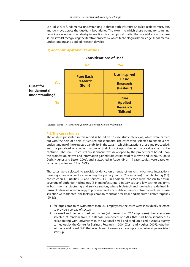use (Edison) or fundamental understanding (Bohr) or both (Pasteur). Knowledge flows must, can, and do move across the quadrant boundaries. The extent to which these boundary spanning flows involve university-industry interactions is an empirical matter that we address in our case studies whilst recognising the iterative process by which technological knowledge, fundamental understanding and applied research develop.

### *Figure 2: Spanning quadrant boundaries*



### **Considerations of Use?**

*Source: D. Stokes (1997) Pasteur's Quadrant, Brookings Institute, Washington*

#### **4.2 The case studies**

The analysis presented in this report is based on 33 case-study interviews, which were carried out with the help of a semi-structured questionnaire. The cases were selected to enable a rich understanding of the expected variability in the ways in which interactions arose and proceeded, and the perceived or assessed nature of their impact upon the company value chain to be captured. The semi-structured questionnaire was developed by the project team based upon the project's objectives and information gained from earlier studies (Brown and Ternouth, 2006; Cosh, Hughes and Lester, 2006), and is attached in Appendix 3. 19 case studies were based on large companies and 14 on SME's.

The cases were selected to provide evidence on a range of university-business interactions covering a range of sectors, including the primary sector (2 companies), manufacturing (15), construction (1), utilities (2) and services (13). In addition, the cases were chosen to ensure coverage of both high-technology (8 in manufacturing, 9 in services) and low-technology firms in both the manufacturing and service sectors, where high-tech and low-tech are defined in terms of reliance on technology to produce products or deliver services<sup>3</sup>. Two procedures of case selection were adopted, one for large companies and one for small and medium-sized enterprises (SMEs):

- i. for large companies (with more than 250 employees), the cases were individually selected to provide a spread of sectors;
- ii. for small and medium-sized companies (with fewer than 250 employees), the cases were selected at random from a database composed of SMEs that had been identified as collaborating with universities in the National Small and Medium Sized Business Survey carried out by the Centre for Business Research in 2004 (Cosh and Hughes, 2007), together with one additional SME that was chosen to ensure an example of a university-associated start-up.

<sup>3</sup> See Butchart (1987) for a detailed classification of high-tech and low-tech businesses, by SIC code.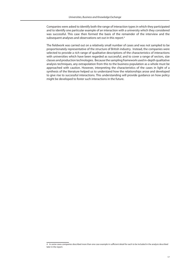Companies were asked to identify both the range of interaction types in which they participated and to identify one particular example of an interaction with a university which they considered was successful. This case then formed the basis of the remainder of the interview and the subsequent analyses and observations set out in this report.<sup>4</sup>

The fieldwork was carried out on a relatively small number of cases and was not sampled to be proportionately representative of the structure of British industry. Instead, the companies were selected to provide a rich range of qualitative descriptions of the characteristics of interactions with universities which have been regarded as successful, and to cover a range of sectors, size classes and production technologies. Because the sampling framework used in-depth qualitative analysis techniques, any extrapolation from this to the business population as a whole must be approached with caution. However, interpreting the characteristics of the cases in light of a synthesis of the literature helped us to understand how the relationships arose and developed to give rise to successful interactions. This understanding will provide guidance on how policy might be developed to foster such interactions in the future.

<sup>4</sup> In some cases companies described more than one case example in sufficient detail for each to be included in the analysis described later in the report.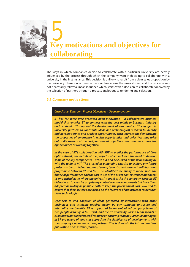

The ways in which companies decide to collaborate with a particular university are heavily influenced by the process through which the company went in deciding to collaborate with a university in the first instance. This decision is unlikely to result from a clear sales proposition by the university. There is no common decision tree across the cases studied and the process does not necessarily follow a linear sequence which starts with a decision to collaborate followed by the selection of partners through a process analogous to tendering and selection.

### **5.1 Company motivations**

### *Case Study: Emergent Project Objectives – Open Innovation*

*BT has for some time practiced open innovation – a collaborative business model that enables BT to connect with the best minds in business, industry and academia. Throughout the development of new services BT engaged its university partners to contribute ideas and technological research to identify and develop service and product opportunities. Such interactions demonstrate the properties of emergence in which opportunities and objectives may arise out of discussions with no original shared objectives other than to explore the opportunities of working together.* 

In the case of BT's collaboration with MIT to predict the performance of fibre *optic network, the details of the project - which included the need to develop some of the key components - arose out of a discussion of the issues facing BT with the team at MIT. This started as a planning exercise to explore any future projects to be carried out as part of a long term strategic research collaboration programme between BT and MIT. This identified the ability to model both the nancial performance and the cost in use of the as yet non-existent components as one critical issue where the university could assist the company. Notably BT did not wish to exercise proprietary control over the components but have them adopted as widely as possible both to keep the procurement costs low and to ensure that their services are based on the forefront of mainstream rather than niche technologies.* 

*Openness to and adoption of ideas generated by interactions with other businesses and academe requires action by any company to secure and*  internalise the benefits. BT is supported by an embedded company team of *two people actually in MIT itself, and the BT university liaison team spends a*  substantial amount of its staff resource on ensuring that the 100 senior managers *in BT are aware of, and can appreciate the significance of developments with the company's open innovation partners. This is done via the intranet and the publication of an internal journal.*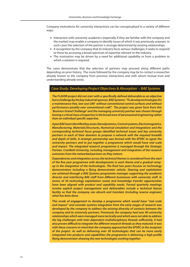Company motivations for university interactions can be conceptualised in a variety of different ways:

- **.** Interaction with university academics (especially if they are familiar with the company and the market) may enable a company to identify issues of which it was previously unaware. In such cases the selection of the partner is strongly determined by existing relationships.
- A recognition by the company that its industry faces serious challenges; it seeks to respond to these by accessing a broad spectrum of expertise relevant to the industry.
- The motivation may be driven by a need for additional capability or from a problem to which a solution is required.

The cases demonstrate that the selection of partners may proceed along different paths depending on prior history. The route followed by the company may be to contact a researcher already known to the company from previous interactions and with whom mutual trust and understanding already exists.

### *Case Study: Developing Project Objectives & Absorption – BAE Systems*

The FLAVIIR project did not start with a specifically defined deliverable as an objective *but a challenge by the key industrial sponsor, BAE Systems: "To develop technologies for a maintenance free, low cost UAV without conventional control surfaces and without performance penalty over conventional craft". The project was given form from this 'Business Grand Challenge' and the managing university partner was chosen through having a critical mass of expertise in the broad area of aeronautical engineering rather than an individual specific expertise.* 

*A pan BAE team identied key areas (Aerodynamics, Control systems, Electromagnetics, Manufacturing, Materials/Structures, Numerical simulation and Integration) and the corresponding technical focus groups identied technical issues and key university partners in each of their domains to propose a network with the required breadth and depth of skills. A strategic partnership was formed with the EPSRC to agree the university partners and to put together a programme which would have real scale and impact. The integrated research programme is managed through the Strategic*  Partner, Cranfield University, including management and integration of the research *outcomes from the networked partners as they mature.* 

*Dependencies and integration across the technical themes is considered from the start*  of the five year programme with developments in each theme and a gradual ramp*up in the integration of the technologies. The final two years focuses on technology demonstrators including a flying demonstrator vehicle. Steering and exploitation are achieved through a BAE Systems programme manager supporting the academic*  director and interfacing BAE staff from different businesses with university staff. In *excess of 30 technology exploitation routes and knowledge transfer opportunities have been aligned with product and capability needs. Formal quarterly meetings involve explicit project management and deliverables include a technical liaison facility so that the company can absorb and translate (including reverse engineer) what has been done.* 

*This mode of engagement to develop a programme which would have "real scale and impact" and consider systems integration from the early stages of research was developed by the company to address the existing diversity of contacts between the company and its university partners. Previously the company had over 90 university relationships which were managed more tactically and which were not able to address*  the big challenges with inter-dependent multidisciplinary threads sufficiently. It had *also proven difficult to integrate the different research threads as they matured. It was with these concerns in mind that the company approached the EPSRC at the inception of the project. As well as delivering over 30 technologies that can be more easily integrated into products and capabilities the programme is delivering a high profile* flying demonstrator showing the new technologies working together.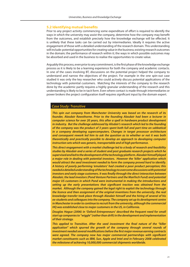### **5.2 Identifying mutual benefits**

Prior to any project activity commencing some expenditure of effort is required to identify the ways in which the university may assist the company, determine how the company may benefit from the outcomes, and establish precisely how the knowledge exchange will be effected. It is unlikely that these tasks can be carried out by intermediaries. Ideally it requires the active engagement of those with a detailed understanding of the research domain. This understanding will include: potential opportunities for creating value in the business; existing research outcomes in the domain; the performance of research within it; the ways in which possible outcomes may be absorbed and used in the business to realise the opportunities to create value.

Arguably this process, even prior to any commitment, is the first phase of the knowledge exchange process as it is likely to be a learning experience for both the company and academic contacts. In one of the cases involving BT, discussions on the potential project helped the company to understand and narrow the objectives of the project. For example in the one spin-out case studied it was only the key researcher who could actively discuss potential applications of the technology with potential customers. Matching the interests of the company to the research done by the academic partly requires a highly granular understanding of the research and this understanding is likely to be in tacit form. Even where contact is made through intermediaries or power brokers the project configuration itself requires significant input by the domain expert.

### *Case Study: Transitive*

*This spin out company from Manchester University was based on the research of its founder, Alasdair Rawsthorne. Prior to the founding Alasdair had been a lecturer in computer science for over 20 years, this after a spell in hardware product development in industry. But the challenge addressed by Alisdair's research which led to the founding of the company was the product of 3 years spent both full and part time on sabbatical in a company developing supercomputers. Changes in target processor architecture and consequent rework led him to ask the question as to whether or not it was both theoretically and practically possible to develop an approach to developing computer instruction sets which was generic, transportable and of high performance.* 

*This direct engagement with a market challenge led to a body of research and feasibility studies by Alasdair and a series of student and post graduate research projects which he supervised and led to the development of the technology platform. Alasdair himself played a major role in dealing with potential investors. However the 'killer' application which would attract the seed investment needed to form the company proved hard to identify. A history of poorly performing 'emulators' had created a poor product perception; this needed a detailed understanding of the technology to overcome discussions with potential investors and early stage customers. It was finally through the direct interaction between Alasdair, the lead investors (Pond Venture Partners and the ManTech Fund) and potential major US customers in which Pond were instrumental in making the introductions and*  setting up the early presentations that significant traction was obtained from the *market. Although the company gained the legal right to exploit the technology through the licence and then assignment of the original inventions from the university, the real knowledge transfer took place through Alasdair himself and the hiring of several of his ex-students and colleagues into the company. The company set up its development centre in Manchester in order to continue to recruit from the university, although the commercial HQ was established close to major customers in the US, in California.* 

*Douglas Hague (2006) in 'Oxford Entrepreneurs' described the frequent need for small start up companies to "wiggle" (rather than drift) in the development and implementation of their strategy.*

This applied to Transitive. After the seed investment the final nature of the "killer *application" which spurred the growth of the company through several rounds of investment needed several modifications before the first major revenue earning contracts* were agreed. The company now has major commercial partnerships with significant *market constituents such as IBM, Sun, Apple and Intel and in February 2008 celebrated the milestone of achieving 10,000,000 commercial shipments worldwide.*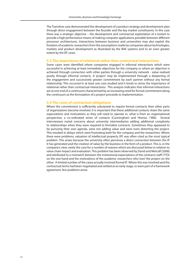The Transitive case demonstrated the development of a product strategy and development plan through direct engagement between the founder and the key market constituents. In this case there was a strategic objective – the development and commercial exploitation of a toolset to provide a high performance means of making computer applications portable between different processor architectures. Interactions between business and universities may also exploit the freedom of academic researchers from the assumptions made by companies about technologies, markets and product development as illustrated by the BAE systems and to an even greater extent by the BT cases.

### **5.3 The importance of relational rather than contractual interactions**

Some cases were identified where companies engaged in informal interactions which were successful in achieving at least immediate objectives for the company or where an objective is achieved through connection with other parties through a university network - value realised purely through informal contacts. A 'project' may be implemented through a deepening of the engagement and successively greater commitment by each partner without any formal relationship. This occurred in at least one case studied and it tends to stress the importance of relational rather than contractual interactions. This analysis indicates that informal interactions are at one end of a continuum characterised by an increasing need for formal commitment along the continuum as the formulation of a project proceeds to implementation.

### **5.4 The costs of contractual obligations**

Where the commitment is sufficiently substantial to require formal contracts then other parts of organisations become involved. It is important that these additional contacts share the same expectations and motivations as they will need to operate in, what is from an organisational perspective, a co-ordinated series of contacts (Cunningham and Homse, 1986). Several interviewees noted concerns about university intermediaries adding additional complexity to relationships when they were required to formalise contracts. Sometimes they appeared to be pursuing their own agenda, were not adding value and were even distorting the project. This resulted in delays which were frustrating both for the company and the researchers. Where there were problems, valuation of intellectual property (IP) was often cited as the most typical problem. This arises because the university often perceives a direct connection between the IP it has generated and the creation of value by the business in the form of a product. This is, in the company's view, rarely the case for a number of reasons which are discussed below in relation to value chain impact and evaluation. This problem has been observed by David and Metcalf (2008) and attributed to a mismatch between the institutional expectations of the contracts staff (TTO) on the one hand and the motivations of the academic researchers who 'own' the project on the other. A limited number of the cases actually involved formal IP. Where this was involved and the contractual terms had been negotiated and settled at an early stage, or were part of a framework agreement, few problems arose.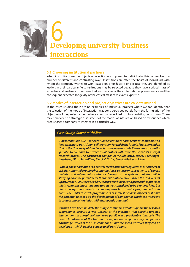

### **6.1 Choosing institutional partners**

When institutions are the objects of selection (as opposed to individuals), this can evolve in a number of different and contrasting ways. Institutions are often the 'hosts' of individuals with whom the company wishes to work based on prior history or because they are identified as leaders in their particular field. Institutions may be selected because they have a critical mass of expertise and are likely to continue to do so because of their international pre-eminence and the consequent expected longevity of the critical mass of relevant expertise.

### **6.2 Modes of interaction and project objectives are co-determined**

In the cases studied there are no examples of individual projects where we can identify that the selection of the mode of interaction was considered separately from the formulation of the objectives of the project, except where a company decided to join an existing consortium. There may however be a strategic assessment of the modes of interaction based on experience which predisposes a company to interact in a particular way.

### *Case Study: GlaxoSmithKline*

*GlaxoSmithKline (GSK) is one of a number of major pharmaceutical companies in a long term multi-participant collaboration for which the Protein Phosphorylation Unit at the University of Dundee acts as the research hub. It now has substantial 'gravity' to continue to attract collaborators with over 100 scientists in eight research groups. The participant companies include AstraZeneca, Boehringer-Ingelheim, GlaxoSmithKline, Merck & Co Inc, Merck KGaA and Pfizer.* 

*Protein phosphorylation is a control mechanism that regulates most aspects of cell life. Abnormal protein phosphorylation is a cause or consequence of cancer,*  diabetes and inflammatory disease. Several of the systems that the unit is *studying have the potential for therapeutic intervention. When the Unit was set up in October 1990, the possibility that protein kinases and protein phosphatases might represent important drug targets was considered to be a remote idea, but almost every pharmaceutical company now has a major programme in this area. The Unit's research programme is of interest because aspects of it have the potential to speed up the development of compounds which can intervene in protein phosphorylation with therapeutic potential.* 

*It would have been unlikely that single companies would support the research programmes because it was unclear at the inception that specific targeted interventions in phosphorylation were possible in a predictable timescale. The research outcomes of the Unit do not impact on companies' key competitive advantage (which is the IP in compounds) but the speed at which they can be developed – which applies equally to all participants.*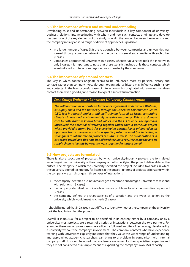### **6.3 The importance of trust and mutual understanding**

Developing trust and understanding between individuals is a key component of universitybusiness relationships. Investigating with whom and how such contacts originate and develop has been one of the key elements of this study. How did the contact between the university and the company initially arise? A range of different approaches is possible:

- In a large number of cases (13) the relationship between companies and universities was formed through common networks, or the contacts were already familiar with each other  $(8 \text{ cases})$
- **Companies approached universities in 6 cases, whereas universities took the initiative in** only 3 cases. It is important to note that these statistics include only those contacts which eventually led to interactions regarded as successful by the companies.

### **6.4 The importance of personal contacts**

The way in which contacts originate seems to be influenced more by personal history and contacts rather than company type, although organisational history may influence such history and contacts. In the few successful cases of interaction which originated with a university driven contact there was a good *a priori* reason to expect a successful interaction

### *Case Study: Waitrose / Lancaster University Collaboration*

*The collaboration incorporates a framework agreement under which Waitrose, its supply chain and the University through the Lancaster Environment Centre (LEC) join in research projects and staff training focused on issues concerning climate change and environmentally sensitive agronomy. This is a domain core to both Waitrose known brand values and the LEC's work. The approach introduced the potential of working together rather than a particular project which provided a strong basis for a developing partnership. It originated in an*  approach from Lancaster not with a specific project in mind but indicating a *willingness to collaborate on projects of mutual interest. The collaboration is in its second period and this time has allowed the university, the company and its supply chain to identify how best to work together for mutual benet.*

### **6.5 How projects are formulated**

There is also a spectrum of processes by which university-industry projects are formulated including either the university or the company or both specifying the project deliverables at the outset. The category in which the university specified the project included two cases in which the university offered technology for licence at the outset. In terms of projects originating within the company we can distinguish three types of interactions:

- the company identified business challenges it faced and encouraged universities to respond with solutions (13 cases);
- the company identified technical objectives or problems to which universities responded (5 cases);
- the company defined the characteristics of a solution and the types of action by the university which would meet its criteria (2 cases).

It should be noted that in 2 cases it was difficult to identify whether the company or the university took the lead in framing the project.

Overall, it is unusual for a project to be specified in its entirety either by a company or by a university; most projects are a result of a series of interactions between the two partners. For example, there was only one case where a license followed an offer of technology developed by a university without the company's involvement. The company contacts who have experience working with universities explicitly indicated that they value the wider range of understanding and approaches academic researchers can bring to a problem in comparison with internal company staff. It should be noted that academics are valued for their specialised expertise and they are not considered as a simple means of expanding the company's own R&D capacity.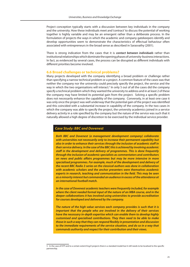Project conception typically starts with a discussion between key individuals in the company and the university. How these individuals meet and 'contract' to discuss the potential of working together is highly variable and may be an emergent rather than a deliberate process. In the formulation of projects the ways in which the academic and company gatekeepers identify and develop opportunities seem to demonstrate the characteristics of effectual behaviour often associated with entrepreneurs in the broad sense as described in Sarasvathy (2001).

There is strong indication from the cases that it is *contact between individuals* rather than institutional relationships which dominate the opening phases of university-business interactions. In fact, as evidenced by several cases, the process can be disrupted as different individuals with different priorities become involved.

### **6.6 Broad challenges or technical problems?**

Many projects developed with the company identifying a broad problem or challenge rather than specifying a narrow technical problem or a project. A common feature of the cases was that neither the company nor the university could precisely specify the project, the service and the way in which the two organisations will interact.<sup>5</sup> In only 5 out of all the cases did the company specify a technical problem which they wanted the university to address and in at least 2 of these the company may have limited its potential gain from the project. Solving a specific problem does not necessarily enhance the capability of the company. Conversely, in at least one case it was only once the project was well underway that the potential gain of the project was identified and this coincided with a substantial increase in capability of the company. In the two cases in which the company was able to specify the project, the university academics joined in a service delivery activity in a role specified by the company but the nature of the service was such that it naturally allowed a high degree of discretion to be exercised by the individual service provider.

### *Case Study: BBC and Dovenest*

*Both BBC and Dovenest (a management development company) collaborate with universities not necessarily only to increase their permanent capability but also in order to enhance their services through the inclusion of academic staff in their service delivery. In the case of the BBC this is achieved by involving academic sta in the development and delivery of programmes. This is done frequently through the inclusion of academic specialists as commentators and contributors on news and public aairs programmes but may be more intensive in more specialised programmes. For example, much of the development and delivery of the recent BBC Radio 3 series on the classical authors was done in collaboration with academic scholars and the anchor presenters were themselves academic experts in research, teaching and communication in the field. This may be seen as a minority interest but commanded an audience in excess of the attendance at an international football match.*

*In the case of Dovenest academic teachers were frequently included, for example where the client needed formal input of the nature of an MBA course, and in the deeper collaborations it has involved using universities to provide accreditation for courses developed and delivered by the company.*

*The nature of the high value services each company provides is such that it is important that the people who are involved in the delivery of their services have the necessary in-depth expertise which can enable them to develop highly customised and specialised contributions. They then need to be able to make those in such a way that they can respond flexibly in presentation and discussion to the immediate requirements of the service situation, and do so in a way that commands authority and respect for their contribution and their views.* 

<sup>5</sup> In the case of KTP and to a certain extent Eng.D projects there is a standard model but it still needs to be localised to the specific partnership.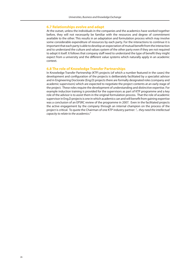### **6.7 Relationships evolve and adapt**

At the outset, unless the individuals in the companies and the academics have worked together before, they will not necessarily be familiar with the resources and degree of commitment available to the other. This results in an adaptation and formulation process which may involve some considerable expenditure of resources by each party. For the interactions to continue it is important that each party is able to develop an expectation of mutual benefit from the interaction and to understand the culture and values system of the other party even if they are not required to adopt it itself. It follows that company staff need to understand the type of benefit they might expect from a university and the different value systems which naturally apply in an academic context.

### **6.8 The role of Knowledge Transfer Partnerships**

In Knowledge Transfer Partnership (KTP) projects (of which a number featured in the cases) the development and configuration of the projects is deliberately facilitated by a specialist advisor and in Engineering Doctorate (Eng.D) projects there are formally designated roles (company and academic supervisors) which are expected to negotiate the project contents at an early stage of the project. These roles require the development of understanding and distinctive expertise. For example induction training is provided for the supervisors as part of KTP programme and a key role of the advisor is to assist them in the original formulation process. That the role of academic supervisor in Eng.D projects is one in which academics can and will benefit from gaining expertise was a conclusion of an EPSRC review of the programme in 2007. Even in the facilitated projects the active engagement by the company through an internal champion on the process of the project is critical. To quote the Chairman of one KTP industry partner: *"... they need the intellectual capacity to relate to the academics."*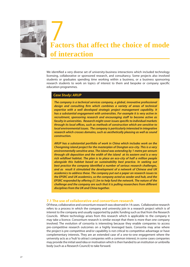

We identified a very diverse set of university-business interactions which included technology licensing, collaborative or sponsored research, and consultancy. Some projects also involved students or graduates spending time working within a business, or a business sponsoring research students to work on topics of interest to them and bespoke or company specific education programmes.

### *Case Study: ARUP*

*The company is a technical services company, a global, innovative professional*  design and consulting firm which combines a variety of areas of technical *expertise with a well developed strategic project management capability. It has a substantial engagement with universities. For example it is very active in recruitment, sponsoring research and encouraging staff to become active as faculty in universities. Research might cover issues specific to individual markets through its local offices, such as methods of construction which are sensitive to local environmental issues. The company is particularly interested in integrative research which crosses domains, such as aesthetically pleasing as well as sound construction.*

*ARUP has a substantial portfolio of work in China which includes work on the Chongming island project for the masterplan of Dongtan eco-city. This is a very environmentally sensitive area. The island was extending by 1 metre per annum through silt deposition and the width of the island at its eastern end is a very rich wildfowl habitat. The plan is to place an eco-city of half a million people alongside this habitat based on sustainability best practice. In seeking out*  best practice the company identified a number of serious research challenges, *and as result it stimulated the development of a network of Chinese and UK academics to address these. The company put out a paper on research issues to the EPSRC and UK academics, so the company acted as seeder and hub, and the EPSRC responded by offering £1.5m to help fund the network. The nature of the challenge and the company are such that it is pulling researchers from different disciplines from the UK and China together.*

### **7.1 The use of collaborative and consortium research**

Of these, collaborative and consortium research was observed in 14 cases. Collaborative research refers to a process in which the company and university join in a research project which is of interest to the company and usually supported by public funding such as that from the Research Councils. Where technology arises from this research which is applicable to the company it may take a licence. Consortium research is similar except that there is more than one company involved. The evolution of consortia is interesting because they enable companies to access pre-competitive research outcomes on a highly leveraged basis. Consortia may arise where the project is pre-competitive and/or capability is not critical to competitive advantage or have complementary interests. They are an extended case of a one-to-one engagement where the university acts as a 'hub' to attract companies with a common interest; in some cases companies may provide the initial seed idea or motivation which is then handed to an institution or umbrella body (such as a Research Council) to take forward.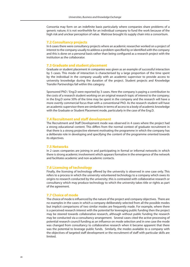Consortia may form on an indefinite basis particularly where companies share problems of a generic nature; it is not worthwhile for an individual company to fund the work because of the high risk and unclear perception of value. Waitrose brought its supply chain into a consortium.

### **7.2 Consultancy projects**

In 6 cases there were consultancy projects where an academic researcher worked on a project of interest to the company usually to address a problem specified by or identified with the company and this is done on a personal basis rather than being configured as a research project with the institution as the collaborator.

### **7.3 Graduate and student placement**

Graduate or student placement in companies was given as an example of successful interaction by 5 cases. This mode of interaction is characterised by a large proportion of the time spent by the individual in the company usually with an academic supervisor to provide access to university knowledge during the duration of the project. Student projects and Knowledge Transfer Partnerships fall within this category.

Sponsored PhD / Eng.D were reported by 3 cases. Here the company is paying a contribution to the costs of a research student working on an original research topic of interest to the company; in the Eng.D some 50% of the time may be spent in the company and the research will have a more overtly commercial focus than with a conventional PhD. As the research student will have an academic supervisor there are similarities in terms of access to a body of academic knowledge with the Graduate or Student Placement mode, particularly in the case of the Eng.D.

### **7.4 Recruitment and staff development**

The Recruitment and Staff Development mode was observed in 4 cases where the project had a strong educational content. This differs from the normal context of graduate recruitment in that there is a strong projective element motivating the programme in which the company has a deliberate role in developing and specifying the content of the programme oriented towards its objectives.

### **7.5 Networks**

In 2 cases companies are joining in and participating in formal or informal networks in which there is strong academic involvement which appears formative in the emergence of the network and facilitates academic and non-academic contacts.

### **7.6 Licensing of technology**

Finally, the licensing of technology offered by the university is observed in one case only. This refers to a process in which the university volunteered technology to a company which owes its origins to research conducted by the university; this is contrasted with collaborative research or consultancy which may produce technology to which the university takes title or rights as part of the agreement.

### **7.7 Choice of mode**

The choice of mode is influenced by the nature of the project and company objectives. There are no examples in the cases in which a company deliberately selected from all the possible modes but implicit comparisons of two similar modes are frequently made. For example, where there is a perceived research interest with the potential for leveraging public funding then the project may be steered towards collaborative research, although without public funding the research may be conducted via a consultancy arrangement. Several cases cited the active processing of potential research council funding as an influence on mode selection and in one case the mode was changed from consultancy to collaborative research when it became apparent that there was the potential to leverage public funds. Similarly, the modes available to a company with the objectives of targeted staff development or the recruitment of staff with particular skills are limited.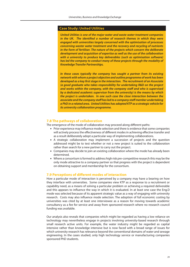### **Case Study: United Utilities**

*United Utilities is one of the major water and waste water treatment companies*  in the UK. The identified a number of research themes in which they were *engaged with universities largely concerned with the optimisation of processes concerning waster water treatment and the recovery and recycling of nutrients in the form of fertiliser. The nature of the projects which concern the deliberate development and acquisition of expertise as well as the use of the collaboration with a university to produce key deliverables (such as optimisation software) has led the company to conduct many of these projects through the modality of Knowledge Transfer Partnerships.*

*In these cases typically the company has sought a partner from its existing network with whom a project objective and outline programme of work has been developed as a key first stage in the interaction. The recruitment of an Associate (a good graduate who takes responsibility for undertaking R&D on the project*  and works within the company, with the company staff and who is supervised *by a dedicated academic supervisor from the university) is the means by which the project is undertaken. In one such case the close interaction between the*  associate and the company staff has led to a company staff member undertaking *a PhD in a related area. United Utilities has adopted KTP as a strategic vehicle for its university collaboration programme.*

### **7.8 The pathways of collaboration**

The emergence of the mode of collaboration may proceed along different paths:

- Prior experience may influence mode selection and there is evidence that some companies will actively process the effectiveness of different modes in achieving effective transfer and as a result deliberately adopt a particular way of implementing collaborations.
- A strategic collaboration may implement a succession of projects and the question addressed might be to test whether or not a new project is suited to the collaboration rather than search for a new partner to carry out the project.
- **Companies may decide to join an existing collaboration where the mode has already been** determined.
- Where a consortium is formed to address high risk pre-competitive research this may be the only mode attractive to a company partner so that progress with the project is dependent on obtaining support and membership for the consortium.

### **7.9 Perceptions of different modes of interaction**

How a particular mode of interaction is perceived by a company may have a bearing on how they interface with universities. Some companies view KTP as a response to a recruitment or capability need, as a means of solving a particular problem or achieving a required deliverable and this appears to influence the way in which it is evaluated. In at least one case the Eng.D mode was selected because of its apparent strategic value as a way of engaging with university research. Costs may also influence mode selection. The adoption of full economic costing by universities was cited by at least one interviewee as a reason for moving towards academic consultancy as a fee for service and away from sponsored research where no research council funding was available.

Our analysis also reveals that companies which might be regarded as having a low reliance on technology may nevertheless engage in projects involving university-based research through small research active units. For example, the water industry might be regarded as capital intensive rather than knowledge intensive but is now faced with a broad range of issues for which university research has relevance beyond the conventional domains of water and sewage engineering. In the cases studied, only high technology service or manufacturing companies sponsored PhD students.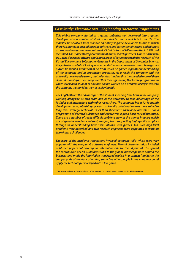### *Case Study: Electronic Arts – Engineering Doctorate Programmes*

*This global company started as a games publisher but developed into a games developer with a number of studios worldwide, one of which is in the UK. The industry has evolved from reliance on hobbyist game developers to one in which there is a premium on leading edge software and systems engineering and this puts an emphasis on graduate recruitment. EA\* did a tour of UK universities in 1999 and identied 3 as major strategic recruitment and research partners. One in particular, UCL, was closest to software application areas of key interest with the research of the Virtual Environment & Computer Graphics in the Department of Computer Science. They also located at UCL a key academic sta member who was also a keen games player, he spent a sabbatical at EA from which he gained a greater understanding of the company and its production processes. As a result the company and the university developed a strong mutual understanding that they needed more of these close relationships. They recognised that the Engineering Doctorate programme, in which a research student of doctoral calibre worked on a problem of key interest to the company was an ideal way of achieving this.*

*The EngD offered the advantage of the student spending time both in the company working alongside its own staff, and in the university to take advantage of the facilities and interactions with other researchers. The company has a 12-18 month development and publishing cycle so a university collaboration was more suited to long-term strategic technical issues than short-term tactical deliverables. Thus a programme of doctoral substance and calibre was a good basis for collaboration. There are a number of really difficult problems now in the games industry which are of genuine academic interest; ranging from supporting high quality graphics through to understanding how users interact with games. Ten such high-level problems were described and two research engineers were appointed to work on two of these challenges.*

*Exposure of the academic researchers involved company talks which were very popular with the company's software engineers. Formal documentation included published papers but also regular internal reports for the EA journal. This spread the contribution of EA's Guildford studio to the global knowledge base around the business and made the knowledge transferred explicit in a context familiar to the company. As of the date of writing some five other people in the company could apply the technology developed into a live game.*

*\* EA is a trademark or a registered trademark of Electronic Arts Inc. in the US and/or other countries. All Rights Reserved.*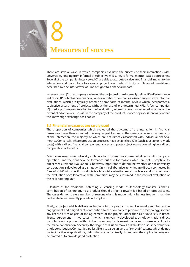

# **Measures of success** 8

There are several ways in which companies evaluate the success of their interactions with universities, ranging from informal or subjective measures, to formal metrics-based approaches. Several of the companies interviewed (7) are able to attribute a calculated financial impact to the interaction, and trace it back to a specific project contribution. This type of financial benefit was described by one interviewee as "line of sight" to a financial impact.

In several cases (7) the company evaluated the project using an internally defined Key Performance Indicator (KPI) which is non-financial, while a number of companies (6) used subjective or informal evaluations, which are typically based on some form of internal review which incorporates a subjective assessment of projects without the use of pre-determined KPIs. A few companies (6) used a post-implementation form of evaluation, where success was assessed in terms of the extent of adoption or use within the company of the product, service or process innovation that the knowledge exchange has enabled.

### **8.1 Financial measures are rarely used**

The proportion of companies which evaluated the outcome of the interaction in financial terms was lower than expected; this may in part be due to the variety of value chain impacts of the interaction, the majority of which are not directly associated with individual financial metrics. Conversely, where production processes have established KPIs (such as scrap or re-work costs) with a direct financial component, a pre- and post-project evaluation will give a direct computation of benefits.

Companies may value university collaborations for reasons connected directly with company operations and their financial performance but also for reasons which are not susceptible to direct measurement. Evaluation is, however, important to determine whether or not university collaboration is developed as a strategy. Only if collaborative activities are directly connected in "line of sight" with specific products is a financial evaluation easy to achieve and in other cases the evaluation of collaboration with universities may be subsumed in the internal evaluation of the collaborating unit.

A feature of the traditional patenting / licensing model of technology transfer is that a contribution of technology to a product should attract a royalty fee based on product sales. The cases demonstrate a number of reasons why this model might be less frequent than the deliberate focus currently placed on it implies.

Firstly, a project which delivers technology into a product or service usually requires active engagement and a significant contribution by the company to produce the technology, so that any license arises as part of the agreement of the project rather than as a university-initiated license agreement. In two cases in which a university-developed technology made a direct contribution to a product without direct company involvement the inventors were very close to the market application. Secondly, the degree of dilution makes it difficult to assess the value of a single contribution. Companies are less likely to value university "armchair" patents which do not protect particular applications; claims that are conceptually distant from the application may not be drafted as to provide good protection.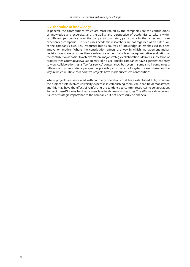### **8.2 The value of knowledge**

In general, the contributions which are most valued by the companies are the contributions of knowledge and expertise, and the ability and perspective of academics to take a wider or different perspective from the company's own staff, particularly in the larger and more experienced companies. In such cases academic researchers are not regarded as an extension of the company's own R&D resources but as sources of knowledge as emphasised in open innovation models. Where the contribution affects the way in which management makes decisions on strategic issues then a subjective rather than objective /quantitative evaluation of the contribution is easier to achieve. Where major strategic collaborations deliver a succession of projects then a formative evaluation may take place. Smaller companies have a greater tendency to view collaborations as a "fee for service" consultancy, but even in some small companies a different and more strategic perspective prevails, particularly if a long-term view is taken on the way in which multiple collaborative projects have made successive contributions.

Where projects are associated with company operations that have established KPIs, or where the project itself involves university expertise in establishing them, value can be demonstrated and this may have the effect of reinforcing the tendency to commit resources to collaboration. Some of these KPIs may be directly associated with financial measures. The KPIs may also concern issues of strategic importance to the company but not necessarily be financial.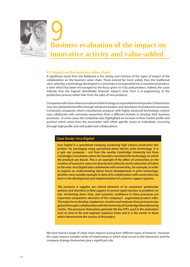

## **Business evaluation of the impact on innovative activity and value-added 9**<br>Busi

### **9.1 Impact on the business value chain**

A significant result from the fieldwork is the variety and richness of the types of impact of the collaboration on the business value chain. These extend far more widely than the traditional view, whereby a technology developed in a university is incorporated into a commercial product, a view which has been encouraged by the focus given to it by policymakers. Indeed, the cases indicate that the highest identifiable financial impacts arise from a re-engineering of the production process rather than from the sales of new products.

Companies with a low reliance on advanced technology incorporated into the products themselves may see substantial benefits through advanced analysis and simulation of production processes. Conversely companies which manufacture products with highly advanced technology content may collaborate with university researchers from a different domain to develop their business processes. In some cases the companies also highlighted an increase in their market profile and position which arises from the association with either specific issues or individuals, occurring through high profile and well publicised collaborations.

### *Case Study: Inca Digital*

*Inca Digital is a specialised company producing high volume production line printers for packaging using specialised piezo electric print technology. It is a spin out company – not from the nearby Cambridge University but from Cambridge Consultants where the founders conceived the technology on which*  the products are based. This is an example of the effect of universities on the *creation of economic value not directly but indirectly via the attraction of talent to the area. Inca Digital does collaborate with universities, for example, in order to acquire an understanding about future developments in print technology. Another most notable example to date of its collaboration with universities has been in the development and implementation of customer support systems.*

*The products it supplies are critical elements of its customers' production*  systems and therefore in field support to ensure rapid reaction to problems on site, minimising down time, and customer confidence in these processes are *important competitive elements of the company's augmented product offer. The expertise to develop, implement, monitor and evaluate these processes was gained through a collaboration with the University of Cambridge Manufacturing Centre. The processes themselves generate the key KPI's used in the evaluation*  such as time-to-fix and engineer response times and it is the trends in these *which demonstrate the success of the project.* 

We have found a range of value chain impacts arising from different types of research. However the cases reveal a complex series of relationships in which what occurs in the interaction and the company strategy themselves play a significant role.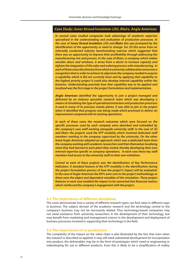### *Case Study: Jones Stroud Insulation (JSI), Blairs, Anglo American*

*In several cases studied companies took advantage of academic expertise specialised in the understanding and evaluation of production processes. In the case of Jones Stroud Insulation (JSI) and Blairs this was prompted by the identification of the opportunity or need to change. For JSI this arose from an internally conducted industry benchmarking exercise which suggested that there was an opportunity to improve their protability through addressing the manufacturing mix and process. In the case of Blairs, a company which makes wooden doors and windows, it arose from a desire to increase capacity and tighten the integration of the sales and ordering process with manufacturing. In each of these cases the stimulus from which a university collaboration arose was a recognition that in order to achieve its objectives the company needed to acquire a capability which it did not currently have and by applying that capability to the highest priority project it could also develop internal capability within the business. Understanding precisely how that capability was to be applied and localised was the first stage in the project formulation and implementation.* 

Anglo American *identified the opportunity to join a project managed and delivered by an industry specialist research team which was developing a means of simulating the type of specialised extraction and production processes it used in many of its precious metals plants. It was able to join in the project*  when it identified that progress was being made which promised to deliver an *improvement compared with its existing operations.*

*In each of these cases the research outcomes which were focused on the*  specific processes used by each company were absorbed and embedded by *the company's own staff working alongside university staff. In the case of JSI* and Blairs the projects used the KTP modality which involved dedicated staff *members working in the company supervised by the university. On the other hand Anglo American adopted an approach which saw a dedicated team from the company working with academic researchers and then themselves localising what they had learned to each plant they visited, thereby developing their own internal expertise specific to company operations. In each case these key staff members had access to the university staff on their own initiatives.* 

*Central to each of these projects was the identication of Key Performance Indicators. A standard feature of the KTP modality is the identification during the project formulation process of how the project's impact will be evaluated. In the case of Anglo American the KPI's were core to the project methodology as these were the object and dependent variables of the simulation. These project features in each case enabled the impact to be converted into financial metrics which reinforced the company's engagement with the project.* 

### **9.2 The importance of different disciplines**

The cases demonstrate how a variety of different research types can find value in different ways in business. The subject domain of the academic research and the technology central to the company's business may not be necessarily related. Thus technology-based companies may not need assistance from university researchers in the development of their technology, but may benefit from marketing and management science in the development and deployment of business processes involved in supporting their technology in the field.

### **9.3 The importance of co-production**

The complexity of the impact on the value chain is also illustrated by the fact that even when the research is described as 'applied', it may still need substantial development for incorporation into product; the deliverables may be in the form of prototypes which need re-engineering or redeveloping for use in different products. Even this is likely to be a simplification of reality,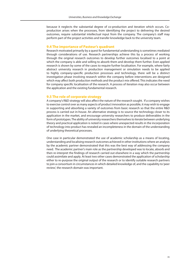because it neglects the substantial degree of co-production and iteration which occurs. Coproduction arises when the processes, from identifying the project to delivering the desired outcomes, require substantial intellectual input from the company. The company's staff may perform part of the project activities and transfer knowledge back to the university team.

### **9.4 The importance of Pasteur's quadrant**

Research motivated primarily by a quest for fundamental understanding is sometimes mediated through considerations of use. Research partnerships achieve this by a process of working through the original research outcomes to develop further outcomes localised to a point at which the company is able and willing to absorb them and develop them further. Even applied research is shown by some of the cases to require further localisation. For example, where fairly abstract university research in production management or simulation needs to be applied to highly company-specific production processes and technology, there will be a distinct investigation phase involving research within the company before interventions are designed which may affect both production methods and the product mix offered. This indicates the need for company specific localisation of the research. A process of iteration may also occur between the application and the existing fundamental research.

### **9.5 The role of corporate strategy**

A company's R&D strategy will also affect the nature of the research sought. If a company wishes to exercise control over as many aspects of product innovation as possible, it may wish to engage in supporting and absorbing a variety of outcomes from basic research so that the entire R&D process is carried out in-house. An alternative strategy is to source the technology closer to its application in the market, and encourage university researchers to produce deliverables in the form of prototypes. The ability of university researchers themselves to iterate between underlying theory and practical application is noted in cases where unexpected results in the incorporation of technology into product has revealed an incompleteness in the domain of the understanding of underlying theoretical processes.

One case in particular demonstrated the use of academic scholarship as a means of locating, understanding and localising research outcomes achieved in other institutions where an analysis by the academic partner demonstrated that this was the best way of addressing the company need. The academic partner's main role as the partnership developed was to locate, absorb and then re-interpret the findings of research carried out elsewhere in a way which the partnership could assimilate and apply. At least two other cases demonstrated the application of scholarship either to re-purpose the original output of the research or to identify suitable research partners to join a consortium in circumstances in which detailed knowledge of, and the capability to 'peer review', the research domain was important.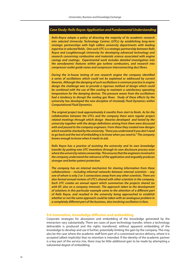### *Case Study: Rolls Royce: Application and Fundamental Understanding*

*Rolls-Royce adopts a policy of directing the majority of its academic research into selected University Technology Centres (UTCs) by establishing long-term strategic partnerships with high calibre university departments with leading expertise in selected fields. One such UTC is a strategic partnership between Rolls Royce and Loughborough University for developing advanced technology and research concerning combustion and materials science associated with engine casings and coatings. Experimental work includes detailed investigation into the aerodynamic features within gas turbine combustors, and research into compressor outlet guide vanes and compressor interconnecting duct flows.* 

**During the in-house testing of one research engine the company identified** *a series of oscillations which could not be explained or addressed by current theories. Although the damping of such oscillations is common practice in engine design the challenge was to provide a rigorous method of design which could be combined with the use of lm cooling to maintain a satisfactory operating temperature for the damping devices. The pressure waves from the oscillations had a tendency to disrupt the cooling gas flows. Study of these effects by the university has developed the new discipline of Unsteady Fluid Dynamics within Computational Fluid Dynamics.* 

*The original project took approximately 6 months from start to finish. As for the collaboration between the UTCs and the company there were regular project related meetings through which design theories developed and tested by the university together with the design denitions arising from them were discussed with and passed to the company engineers. From these they created new designs which would be checked by the university. "Once you understand it you don't need to go back and the test of embedding is to know when you need to." The company knows enough to know when it needs to ask.*

*Rolls Royce has a practise of assisting the university and its own knowledge transfer by putting new UTC inventions through its own disclosure process even where the university retains ownership. This ensures that the engineers involved in the company understand the relevance of the application and arguably produces stronger and better patent protection.* 

*The company has an internal mechanism for sharing information from these collaborations – including informal networks between internal scientists – any one of whom is only 2 or 3 connections away from any other scientists. There are also formal annual reviews of UTC's shared with other scientists in the company. Each UTC creates an annual report which summarises the projects shared (as with BT, also on a company intranet). The approach taken to the development*  of solutions in this particular example came to the attention of a different part *of Rolls Royce, and resulted in the university being approached to establish whether or not the same approach could be taken with an analogous problem in a completely different part of the business, also involving oscillation in fans.* 

### **9.6 Innovation, knowledge diffusion and embedding**

Corporate strategies for absorption and embedding of the knowledge generated by the interaction vary substantially. There are cases of pure technology transfer, where a technology deliverable is produced and the rights transferred, without apparent embedding of the knowledge to develop and use it further, potentially limiting the gain by the company. This may also be the case where the academic staff form part of a customised service delivery, where it is accepted (albeit implicitly) that no retention is intended. If the identity of the academic partner is a key part of the service mix, there may be little additional gain to be made by attempting a substantial degree of embedding.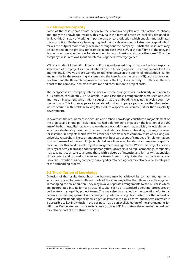### **9.7 Absorptive capacity**

Some of the cases demonstrate action by the company to plan and take action to absorb and apply the knowledge created. This may take the form of processes explicitly designed to achieve this or a way of working in partnership or co-production which enables and facilitates this absorption. Deliberate planning may include the development of structural capital which makes the outputs more widely available throughout the company. Substantial resources may be expended on this process, for example in one case over 50% of the staff time of the relevant liaison group was spent on deliberate embedding and diffusion and in another case, 1% of the company's resources was spent on internalising the knowledge gained.

KTP is a mode of interaction in which diffusion and embedding of knowledge is an explicitly stated aim of the project as now identified by the funding agents. The arrangements for KTPs and the Eng.D involve a close working relationship between the agents of knowledge creation and transfer, i.e. the supervising academic and the Associate in the case of KTP, or the supervising academic and the Research Engineer in the case of the Eng.D, respectively. In both cases there is a cost to the company in terms of staff time and contribution to project costs.

The perspectives of company interviewees on these arrangements, particularly in relation to KTPs differed considerably. For example, in one case these arrangements were seen as a cost and not an investment which might suggest that the embedding was not actively sought by the company. This in turn appears to be related to the company's perspective that the project was concerned with problem solving (to produce a specific deliverable) rather than capability development.

In two cases the requirements to acquire and embed knowledge constitute a major element of the project, and in one particular instance had a determining impact on the location of the UK arm of the business. Alternatively, the way the project is designed may explicitly include elements which are deliberately designed to at least facilitate or achieve embedding; this may be seen, for instance, in projects which involve embedded teams where company staff work alongside university researchers. These arrangements may be a part of specific modes of implementation, such as the use of joint teams. Projects which do not involve embedded teams may make specific provision for this by detailed project management arrangements. Where the project involves work by academic teams and contact primarily through reports and regular meetings, companies may take particular care to arrange these with a degree of intensity and formality that enables close contact and discussion between the teams in each party. Patenting by the company of university inventions using company-employed or retained agents may also be a deliberate part of the embedding process.

### **9.8 The diffusion of knowledge**

Diffusion of the results throughout the business may be achieved by contact arrangements which are shared between different parts of the company other than those directly engaged in managing the collaboration. They may involve separate arrangements by the business which are incorporated into its formal structural capital such as its standard operating procedures or deliberately managed by project teams. This may also be enabled by the operation of internal networks where engagement is encouraged by internal recognition systems or the interest of motivated staff. Rendering the knowledge transferred into explicit form<sup>6</sup> and in terms in which it is accessible to key individuals in the business may be an explicit feature of the arrangements for diffusion. Deliberate use of university agents (such as KTP Associates) elsewhere in the business may also be part of the diffusion process.

<sup>6</sup> For definitions of explicit and tacit knowledge and a discussion of the relationship see section 10.3 (below).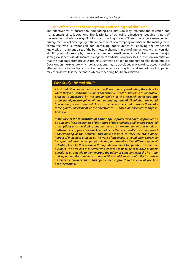### **9.9 The effectiveness of absorption, embedding and diffusion**

The effectiveness of absorption, embedding and diffusion may influence the selection and management of collaborations. The feasibility of achieving effective embedding is part of the selection criteria for eligibility for grant funding under KTP and the project management arrangements explicitly highlight the appointment of a company member on the management committee who is responsible for identifying opportunities for applying the embedded knowledge in different parts of the business. A change in mode of interactions with universities at BAE systems, for example, from a large number of small projects to a limited number of major strategic alliances with deliberate management and diffusion processes - arose from a realisation that the outcomes from previous projects seemed to be too fragmented to take them into use. Decisions on the extent to which collaborations may be developed may take into account and be affected by the transaction costs of achieving effective absorption and embedding. Companies may themselves test the extent to which embedding has been achieved.

### *Case Study: BP and ARUP*

*ARUP and BP evaluate the success of collaborations by evaluating the extent to which they are used in the business. For example, at ARUP success in collaborative projects is measured by the implantability of the research outcomes into professional practice guides within the company – the ARUP collaborator would take reports, presentations etc from academic partners and translate these into*  these guides. Assessment of the effectiveness is based on observed change in *practise.* 

*In the case of the BP Institute at Cambridge, a project will typically produce as an outcome fresh awareness of the nature of the problems, challenging accepted*  assumptions and questioning whether there are more fundamental scientific or *mathematical approaches which would be better. The results are an improved understanding of the problem. This makes it hard to track the stand-alone impact of individual projects as the work of the Institute would often simply be incorporated into the company's thinking and thereby affect different types of activities, from further research through development to operations within the*  **business. The best and most effective evidence seems to be to to have as many** *anecdotes as possible to demonstrate the utility of engaging with the Institute and expanding the number of groups in BP who wish to work with the Institute – as this is their own decision. This open-ended approach to the value of 'use' has been increasing.*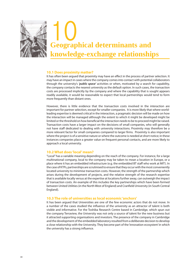

### **10.1 Does proximity matter?**

It has often been argued that proximity may have an effect in the process of partner selection. It may have an impact in cases where the company comes into contact with potential collaborators through the university's *'public space'* activities or when, motivated by a search for capability, the company contacts the nearest university as the default option. In such cases, the transaction costs are processed implicitly by the company and where the capability that is sought appears readily available, it would be reasonable to expect that local partnerships would tend to form more frequently than distant ones.

However, there is little evidence that the transaction costs involved in the interaction are important for partner selection, except for smaller companies. It is more likely that where worldleading expertise is deemed critical in the interaction, a pragmatic decision will be made on how the interaction will be managed although the extent to which it might be developed might be limited or the threshold on how beneficial the interaction needs to be to proceed might be raised. Transaction costs have a larger impact on the decisions of small companies, who will generally not have staff dedicated to dealing with university interactions. Proximity may therefore be a more relevant factor for small companies compared to larger firms. Proximity is also important where the project is of a sensitive nature or where the outcome is needed at short notice; in these instances companies place a greater value on frequent personal contacts, and are more likely to approach a local university.

### **10.2 What does 'local' mean?**

"Local" has a variable meaning depending on the reach of the company. For instance, for a large multinational company, local to the company may be taken to mean a location in Europe, or a place where it has an embedded infrastructure (e.g. the embedded BT staff who work at MIT). In the case of KTPs, partnerships are scrutinised to ensure that they occur with the most conveniently located university to minimise transaction costs. However, the strength of the partnership which arises during the development of projects, and the relative strength of the research expertise that is available locally versus at the expertise at locations further away, can outweigh the impact of transaction costs. An example of this includes the key partnerships which have been formed between United Utilities (in the North West of England) and Cranfield University (in South Central England).

### **10.3 The role of universities as local economic 'anchors'**

It has been argued that Universities are one of the few economic actors that do not move. In a number of the cases studied the influence of the university as an attractor of talent is both visible and informative. For the Toshiba Research Centre based in Cambridge, which spun out the company Terraview, the University was not only a source of talent for the new business but it attracted supporting organisations and investors. The presence of the company in Cambridge and the development of the embedded laboratory resulted from a deliberate decision to develop a close relationship with the University. They become part of the 'innovation ecosystem' in which the university has a strong influence.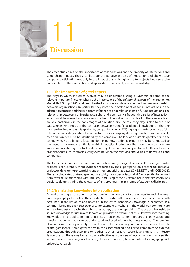

**Discussion** 11

The cases studied reflect the importance of collaborations and the diversity of interactions and value chain impacts. They also illustrate the iterative process of innovation and show active company participation not only in the interactions which give rise to projects but also active participation in the assimilation and application of university derived knowledge.

### **11.1 The importance of gatekeepers**

The ways in which the cases evolved may be understood using a synthesis of some of the relevant literature. These emphasise the importance of the *relational aspects* of the Interaction Model (IMP Group, 1982) and describe the formation and development of business relationships between organisations. In particular they note the development of social interactions in the adaptation process and the important influence of prior relationships on future interactions. The relationship between a university researcher and a company is frequently a series of interactions which must be viewed in a long-term context. The individuals involved in these interactions are key, particularly in the early stages of a relationship. The role they play is akin to those of gatekeepers who mediate the contrasts between scientific academic knowledge on the one hand and technology as it is applied by companies. Allen (1979) highlights the importance of this role in the early stages when the opportunity for a company deriving benefit from a university collaboration needs to be identified by the company. The lack of a suitable gatekeeper in the company may be a limiting factor in identifying how academic expertise may be connected to the needs of a company. Similarly, this Interaction Model describes how these contacts are important in fostering a mutual understanding of the cultures and practises of different types of organisations; such contrasts clearly exist between the missions and values of universities and companies.

The formative influence of entrepreneurial behaviour by the gatekeepers in Knowledge Transfer projects is consistent with the evidence reported by the expert panel on a recent collaborative project on developing enterprising and entrepreneurial graduates (CIHE, NESTA and NCGE, 2008). The report indicated that entrepreneurial activity by academic faculty in US universities benefitted from external relationships with industry, and using these as exemplars in the classroom was crucial to demonstrating the relevance of entrepreneurship in a range of academic disciplines.

### **11.2 Translating knowledge into application**

As well as acting as the agents for introducing the company to the university and vice versa gatekeepers play a key role in the introduction of external knowledge to a company. This is both described in the literature and revealed in the cases. Academic knowledge is expressed in a common language such that scientists, for example, anywhere in the world may communicate with and understand each other when they occupy the same specialism. The use of scholarship to source knowledge for use in a collaboration provides an example of this. However incorporating knowledge into application in a particular business context requires a translation and transformation so that it can be understood and used within a business context. The function of recognising the opportunity to do this, and then engaging company resources is the role of the gatekeeper. Some gatekeepers in the cases studied also linked companies to external organisations through their role on bodies such as research councils and university-industry liaison boards. These may be particularly effective as promoters of interactions with universities where those external organisations (e.g. Research Councils) have an interest in engaging with university research.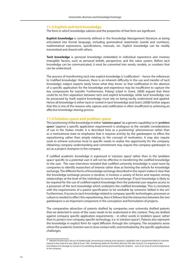### **11.3 Explicit and tacit knowledge**

The form in which knowledge subsists and the properties of that form are significant.

**Explicit knowledge** is commonly defined in the Knowledge Management literature as being articulated into formal language, including grammatical statements (words and numbers), mathematical expressions, specifications, manuals, etc. Explicit knowledge can be readily transmitted and shared with others.

**Tacit knowledge** is personal knowledge embedded in individual experience and involves intangible factors, such as personal beliefs, perspective, and the value system. Before tacit knowledge can be communicated, it must be converted into words, models, or numbers that can be understood.

The process of transforming tacit into explicit knowledge is 'codification' – hence the references to 'codified knowledge'. However, there is an inherent difficulty in the use and transfer of tacit knowledge; subject experts rarely know what they know' so that codification in the absence of a specific application for the knowledge and experience may be insufficient to capture the key components for transfer. Furthermore, Polanyi (cited in Grant, 2008) argued that there could be no firm separation between tacit and explicit knowledge; while tacit knowledge can be possessed by itself, explicit knowledge must rely on being tacitly understood and applied. Hence all knowledge is either tacit or rooted in tacit knowledge and Grant (2008) further argues that this is one of the reasons why capture and codification is often insufficient to achieving an effective knowledge sharing process.

### **11.4 Solution space and problem space**

This 'positioning' of the knowledge in either *'solution space'* (as a generic capability) or in *'problem space'* (against a specific application requirement) is analogous to the variable considerations of use in the Stokes model. It is described here as a positioning<sup>7</sup> phenomenon rather than as a motivational state to emphasise that it requires activity by the gatekeepers to effect the repositioning rather than simply relating to the concept of motivation. It may also require work to achieve outcomes local to specific needs to realise the opportunity for the company. Obtaining company understanding and commitment may require the company gatekeeper to act as a project champion in the company.

If codified academic knowledge is expressed in 'solution space' rather than in the 'problem space' specific to a potential user it will not be effective in transferring the codified knowledge to the user. The case interviews revealed that codified university knowledge is used more by companies to identify researchers of interest rather than as forming the vehicle for knowledge exchange. The different forms of knowledge exchange described in this report makes it clear that the knowledge exchange process is iterative, it involves a variety of forms and requires strong relationships at the level of the individual to ensure full exchange. If tacit knowledge is likely to be required for the use of codified explicit knowledge then the potential user requires access to a possessor of the tacit knowledge which underpins the codified knowledge. This is consistent with the requirements of a patent specification to be workable by someone 'skilled in the art'. Furthermore, if access to tacit knowledge related to company specific technologies, processes or culture is needed to effect this repositioning, then it follows that the interaction between the two gatekeepers is an important component in the conception and formulation of projects.

The comparative attraction of patents drafted by companies over university drafted patents that we detected in some of the cases needs to be understood in this context. They are drafted against company specific application requirements – in other words in 'problem space', rather than to protect non-company specific technology, (i.e. in 'solution space'). Patents also represent the knowledge in explicit form for rapid diffusion through the company. The exceptions arose where the academic inventor was in close contact with, and motivated by, the specific application challenges.

<sup>7 (</sup>Market) Positioning is the act of intellectually connecting an existing asset (product, capability) with a requirement likely to motivate interest in the mind of a user; (Ries & Trout, 1981, Positioning, Battle for the Mind, McGraw-Hill, New York p5). It is important in the assimilation of a message to connect it to something already actively processed by the recipient – such as an issue of current importance to the company.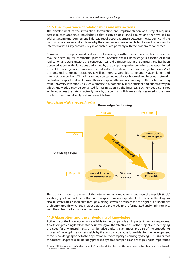### **11.5 The importance of relationships and interactions**

The development of the interaction, formulation and implementation of a project requires access to tacit academic knowledge so that it can be positioned against and then worked to address a company requirement. This requires direct engagement between the academic and the company gatekeeper and explains why the companies interviewed failed to mention university intermediaries as key contacts; key relationships are primarily with the academics concerned.

Conversion of the repositioned tacit knowledge arising from the interaction to explicit knowledge may be necessary for contractual purposes. Because explicit knowledge is capable of rapid replication and transmission, this conversion will aid diffusion within the business and has been observed as one of the functions performed by the company gatekeeper. Where the repositioned explicit knowledge is in a manner framed within the shared tacit knowledge framework<sup>8</sup> of the potential company recipients, it will be more susceptible to voluntary assimilation and interpretation by them. This diffusion may be carried out through formal and informal networks and in both explicit and tacit forms. This also explains the use of company drafted patents arising from university inventions, as such a practise is a potentially more efficient and effective way in which knowledge may be converted for assimilation by the business. Such embedding is not achieved unless the patents actually work by the company. This analysis is presented in the form of a two dimensional analytical framework below:



The diagram shows the effect of the interaction as a movement between the top left (tacit/ solution) quadrant and the bottom right (explicit/problem) quadrant. However, as the diagram also illustrates, this is mediated through a dialogue which occupies the top right quadrant (tacit/ problem) through which the project objectives and modality are formulated and which interacts with the actual performance of the project.

### **11.6 Absorption and the embedding of knowledge**

Active use of the knowledge now available to the company is an important part of the process. Apart from providing feedback to the university on the effectiveness of the project and identifying the need for any amendments on an iterative basis, it is an important part of the embedding process of developing an asset usable by the company because it provides for the development of tacit knowledge specific to the application by the company ('learning by doing'). This is a part of the absorption process deliberately practised by some companies and recognising its importance

<sup>8</sup> Grant (2008) describes this as "implicit knowledge" – tacit knowledge which could be made explicit but need not be because it is part of a shared "professional" culture.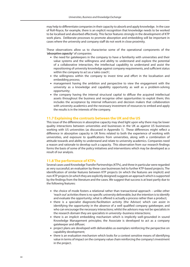may help to differentiate companies in their capacity to absorb and apply knowledge. In the case of Roll-Royce, for example, there is an explicit recognition that knowledge needs to be worked to be localised and absorbed effectively. This factor features strongly in the development of KTP work plans. Deliberate processes to promote absorption and embedding will be important in cases where the university and company staff do not work in close proximity.

These observations allow us to characterise some of the operational components of the *'absorptive capacity'* of companies:

- the need for gatekeepers in the company to have a familiarity with universities and their value systems and the willingness and ability to understand and explore the potential of a collaborative interaction, the intellectual capability to understand and assist the repositioning of university knowledge against company requirements, and sufficient status within the company to act as a 'sales coach';
- the willingness within the company to invest time and effort in the localisation and embedding process;
- **management having the ambition and perspective to view the engagement with the** university as a knowledge and capability opportunity as well as a problem-solving opportunity;
- . the company having the internal structural capital to diffuse the acquired intellectual assets throughout the business and recognise other opportunities to exploit them; this includes the acceptance by internal influencers and decision makers that collaboration with university academics and the necessary investment of resources to embed and apply the results is in the interests of the company.

### **11.7 Explaining the contrasts between the UK and the US**

This issue of the differences in absorptive capacity may shed light upon why there may be lower quality interactions between universities and businesses in the UK as against US businesses working with US universities (as discussed in Appendix 1). These differences might reflect a difference in absorptive capacity in UK firms related to both the experience of working with universities, and exposure to qualifications from universities, along with a combination of attitude towards and ability to understand and relate to university academics. Companies need a reason and rationale to develop such a capacity. This observation from our research findings forms the basis of some of the policy initiatives and interventions which may be developed as a result of our analysis.

### **11.8 The performance of KTPs**

Several cases used Knowledge Transfer Partnerships (KTPs), and three in particular were regarded as very successful; an evaluation by these case businesses led to further KTP-based projects. The identification of similar features between KTP projects (in which the features are implicit) and non-KTP projects (in which they are explicitly designed) suggests an approach which is supported by the findings from the literature and the cases. We suggest that success is at least partly due to the following features:

- the choice of mode fosters a relational rather than transactional approach unlike other 'reach out' activities there is no specific university deliverable, but the intention is to identify and evaluate the opportunity; what is offered is actually a process rather than a product;
- **.** there is a specialist diagnostic/facilitation activity (the Advisor) which can assist in identifying the opportunity in the absence of a well qualified company gatekeeper, and who can encourage the necessary interactions; whilst the advisors may not be specialists in the research domain they are specialists in university–business interactions;
- there is an implicit embedding mechanism which is implicitly well-grounded in sound Knowledge Management principles; the Associate is developed to act as a company gatekeeper and diffuser;
- project plans are developed with deliverables as exemplars reinforcing the perspective on capability development;
- there is an evaluation mechanism which looks for a context sensitive means of identifying value in terms of impact on the company value chain reinforcing the company's investment in the project.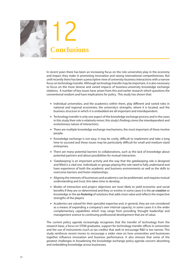

In recent years there has been an increasing focus on the role universities play in the economy and impact they make in promoting innovation and raising international competitiveness. But until recently there has been a prescriptive view of university-business interactions with a narrow focus on technology transfer. Although technology transfer may be important, it is also necessary to focus on the more diverse and varied impacts of business-university knowledge exchange relations. A number of key issues have arisen from this and earlier research which questions the conventional wisdom and have implications for policy. This study has shown that:

- . Individual universities, and the academics within them, play different and varied roles in national and regional economies; the university's strengths, where it is located, and the business structure in which it is embedded are all important and interdependent.
- **EXECT** Technology transfer is only one aspect of the knowledge exchange process and in the cases in this study their role is relatively minor; this study's findings stress the interdependent and evolutionary nature of interactions.
- **There are multiple knowledge exchange mechanisms; the most important of these involve** people.
- Knowledge exchange is not easy; it may be costly, difficult to implement and take a long time to succeed and these issues may be particularly difficult for small and medium-sized enterprises.
- **•** There are many potential barriers to collaborations, such as the lack of knowledge about potential partners and about possibilities for mutual interaction.
- 'Gatekeeping' is an important activity and the way that the gatekeeping role is designed and filled is a vital one. Individuals or groups playing this role need to fully understand and have experience of both the academic and business environments as well as the skills to overcome barriers and foster relationships.
- **•** Aligning the interests of businesses and academics can be problematic and requires mutual understanding and trust; this takes time to develop.
- **■** Modes of interaction and project objectives are most likely to yield economic and social benefits if they are co-determined and they co-evolve; in some cases it is the *co-creation* or knowledge or the *co-fostering* of solutions that adds most value and reflects the respective strengths of the players.
- Academics are valued for their specialist expertise and, in general, they are not considered as a means of expanding a company's own internal capacity; in some cases it is the wider complementary capabilities which may range from providing 'thought leadership' and management science to continuing professional development that are of value.

The current policy agenda increasingly recognises that the transfer of technology from the research base, a focus on STEM graduates, support for technology transfer offices in universities and the use of instruments (such as tax credits) that seek to encourage R&D is too narrow. This study reinforces recent moves to encourage a wider view on how universities and businesses together influence innovation and business performance. It also stresses that some of the greatest challenges in broadening the knowledge exchange policy agenda concern absorbing and embedding knowledge across businesses.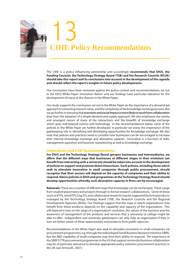

The CIHE is a policy influencing partnership and accordingly **recommends that DIUS, the Funding Councils, the Technology Strategy Board (TSB) and the Research Councils (RCUK) should take this report and its conclusions into account in the development of this agenda**  and should reflect the report's insights in future policy developments.

Our conclusions have been reviewed against the policy context and recommendations set out in the DIUS White Paper '*Innovation Nation'* and our findings have particular relevance for the development of many of the themes in the White Paper.

Our study supports the conclusions set out in the White Paper on the importance of a demand-led approach to extracting research value, and the complexity of the knowledge exchange process. But we go further in stressing that *economic and social impact is more likely to result from collaboration* than from the adoption of a simple demand and supply approach. We also emphasise the variety and emergent nature of many of the interactions and the breadth of knowledge exchange which goes well beyond science and technology. In the recommendations below some of the policies in the White Paper are further developed. In particular we stress the importance of the gatekeeping role in identifying and developing opportunities for knowledge exchange. We also note that policies and practices need to consider how businesses can be encouraged to increase their internal knowledge exchange and absorptive capacity. Innovation is a function of skills, management aspiration and business repositioning as well as knowledge exchange.

### **Implications and CIHE Recommendations:**

**For DIUS and the Technology Strategy Board apropos businesses and intermediaries, we**  affirm that the different ways that businesses at different stages in their evolution can benefit from interacting with a university should be taken into account in the development **of policies to support and promote these interactions. Such policies, including those which seek to stimulate innovation in small companies through public procurement, should recognise that their success will depend on the capacity of companies and their ability to respond. Hence policies in DIUS and programmes at the Technology Strategy Board should**  develop opportunities whereby such absorptive capacity in firms can be encouraged.

**Rationale**: There are a number of different ways that knowledge can be exchanged. These range from student placements and projects through to formal research collaborations. Some of these (such as KTPs, mini KTPs, Eng.D's, and collaborative research) may be supported by formal products managed by the Technology Strategy Board (TSB), the Research Councils and the Regional Development Agencies (RDAs). Our findings suggest that the ways in which organisations may benefit from these products depends on the capability and capacity of the organisation. This will depend in turn on the stage of a organisation's evolution, the nature of the business and the awareness of management of the products and services that a university or college might be able to offer. Independent and university gatekeepers can only help an organisation if they in turn are better aware of these opportunities and products from public agencies.

Recommendations in the White Paper also seek to stimulate innovation in small companies via procurement programmes, e.g. through the redeveloped Small Business Research Initiative (SBRI). But the R&D capability of small companies may limit their ability to respond. The experience of the SBIR/STTR procurement programmes in the US that support university/business collaboration may be of particular relevance to develop appropriate policy solutions procurement practices in the UK (see Ternouth, 2007).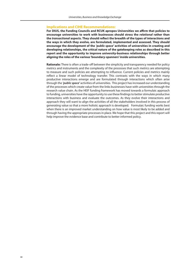### **Implications and CIHE Recommendations:**

For DIUS, the Funding Councils and RCUK apropos Universities we affirm that policies to **encourage universities to work with businesses should stress the** *relational* **rather than**  the *transactional* aspects. They should reflect the breadth of the types of interactions and **the ways in which they evolve, are formulated, implemented and assessed. They should encourage the development of the** *'public space'* **activities of universities in creating and developing relationships, the critical nature of the gatekeeping roles as described in this report and the opportunity to improve university-business relationships through better aligning the roles of the various 'boundary-spanners' inside universities.**

**Rationale:** There is often a trade-off between the simplicity and transparency needed for policy metrics and instruments and the complexity of the processes that such metrics are attempting to measure and such policies are attempting to influence. Current policies and metrics mainly reflect a linear model of technology transfer. This contrasts with the ways in which many productive interactions emerge and are formulated through interactions which often arise through the *'public space'* activities of universities. This project has increased our understanding of the processes which create value from the links businesses have with universities through the research value chain. As the HEIF funding framework has moved towards a formulaic approach to funding, universities have the opportunity to use these findings to better stimulate productive interactions with business and evaluate the outcomes. As they evolve their interactions and approach they will want to align the activities of all the stakeholders involved in this process of generating value so that a more holistic approach is developed. Formulaic funding works best when there is an improved market understanding on how value is most likely to be added and through having the appropriate processes in place. We hope that this project and this report will help improve the evidence base and contribute to better informed policy.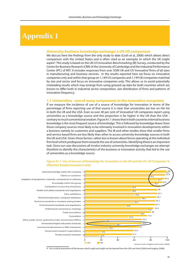## **Appendix 1**

### **University-business knowledge exchange: a UK-US comparison**

We discuss here the findings from the only study to date (Cosh et al, 2006) which allows direct comparison with the United States and is often cited as an exemplar to which the UK might aspire<sup>9</sup>. This study is based on the UK-US Innovation Benchmarking (IB) Survey, conducted by the Centre for Business Research (CBR) of the University of Cambridge and the Industrial Performance Center (IPC) of MIT. It includes responses from over 3500 UK and US 'innovative' firms of all sizes in manufacturing and business services. In the results reported here we focus on innovative companies only and within that group on 1,149 US companies and 1,149 UK companies matched by size and sector and focus on innovative companies only. This allows us to avoid potentially misleading results which may emerge from using grossed up data for both countries which are known to differ both in industrial sector composition, size distribution of firms and patterns of innovation frequency.

### **1.1 Universities - one of many components in the innovation ecosystem**

If we measure the incidence of use of a source of knowledge for innovation in terms of the percentage of firms reporting use of that source it is clear that universities are low on the list in both the UK and the USA. Even so over 40 per cent of 'innovative' UK companies report using universities as a knowledge source and this proportion is far higher in the UK than the USA contrary to much conventional wisdom. Figure A1.1 shows that in both countries internal business knowledge is the most frequent source of knowledge. This is followed by knowledge drawn from those company sources most likely to be intimately involved in innovation developments within a business namely its customers and suppliers. The IB and other studies show that smaller firms and service based firms are less likely than other to access university knowledge sources in both the UK and USA. Given those factors, rather less is known about forces operating at the individual firm level which predispose them towards the use of universities. Identifying these is an important task. Since our case discussions all involve industry university knowledge exchanges we attempt therefore to identify the characteristics of the business or innovation activity that led to the use of universities as a knowledge source.



### *Figure A1.1: Use of Sources of Knowledge for Innovation in the UK and the US: All Companies % (Matched Sample Innovators only)*

9 For a critical assessment of the lessons which might and might not be learned from the USA see Pavitt (2004) and Hughes (2008).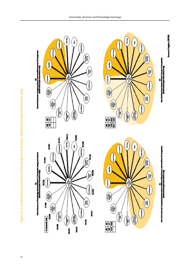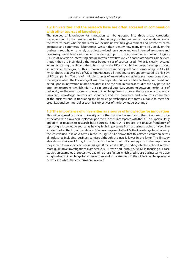### **1.2 Universities and the research base are often accessed in combination with other sources of knowledge**

The sources of knowledge for innovation can be grouped into three broad categories corresponding to the business sector, intermediary institutions and a broader definition of the research base, wherein the latter we include universities, government and private research institutes and commercial laboratories. We can then identify how many firms rely solely on the business group how many rely on at lest one business source and one intermediary source and how many use at least one source from each group. This categorisation, as shown in Figures A1.2 (a-d), reveals an interesting picture in which few firms rely on corporate sources alone even though they are individually the most frequent set of sources used. What is clearly revealed when comparing the UK and the USA is that in the UK a much higher proportion report using sources in all three groups. This is shown in the box in the top left hand corner of figure A1.2 (d) which shows that over 80% of UK companies used all three source groups compared to only 52% of US companies. The use of multiple sources of knowledge raises important questions about the ways in which the knowledge flows from disparate sources can be effectively combined and acted upon in innovation related activities inside the firm. In our case studies we pay particular attention to problems which might arise in terms of boundary spanning between the domains of university and internal business sources of knowledge. We also look at the way in which potential university knowledge sources are identified and the processes and resources committed at the business end in translating the knowledge exchanged into forms suitable to meet the organisational commercial or technical objectives of the knowledge exchange

### **1.3 The importance of universities as a source of knowledge for innovation**

This wider spread of use of university and other knowledge sources in the UK appears to be associated with a lower value placed upon them in the UK compared with the US. This is particularly apparent in relation to research base sources. Figure A1.3 reports the relative frequency of reporting a knowledge source as having high importance from a business point of view. The shorter the bar the lower the relative UK score compared to the US. The knowledge base is clearly the least valued in relative terms in the UK. Figure A1.4 shows that this effect is common across all industries including business services although the gap is lower in the latter. The IB study also shows that small firms, in particular, lag behind their US counterparts in the importance they attach to university-business linkages (Cosh et al, 2006), a finding which is echoed in other more qualitative investigations (Lambert, 2003; Brown and Ternouth, 2006). In focusing our case studies on examples of success we examine those factors which predispose businesses to place a high value on knowledge base interactions and to locate them in the wider knowledge source activities in which the case firms are involved.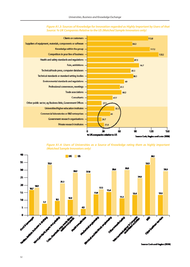

*Figure A1.3: Sources of Knowledge for Innovation regarded as Highly Important by Users of that Source: % UK Companies Relative to the US (Matched Sample Innovators only)*

*Figure A1.4: Users of Universities as a Source of Knowledge rating them as highly important (Matched Sample Innovators only)*

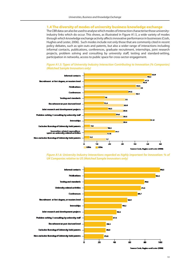### **1.4 The diversity of modes of university business knowledge exchange**

The CBR data can also be used to analyse which modes of interaction characterise those universityindustry links which do occur. This shows, as illustrated in Figure A1.5, a wide variety of modes through which knowledge exchange activity affects innovative performance in businesses (Cosh, Hughes and Lester, 2006). Such modes include not only those that are commonly cited in recent policy debates, such as spin-outs and patents, but also a wider range of interactions including informal contacts, publications, conferences, graduate recruitment, internships, joint research projects, problem solving and consulting by university staff, testing and standard-setting, participation in networks, access to public space for cross-sector engagement.

### *Figure A1.5: Types of University Industry Interaction Contributing to Innovation (% Companies) (Matched Sample Innovators only)*



*Figure A1.6: University Industry Interactions regarded as highly important for Innovation: % of UK Companies relative to US (Matched Sample Innovators only)*



o Cook, Hughes and Lester (2006)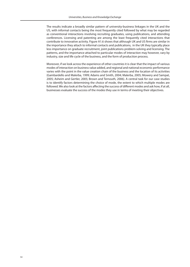The results indicate a broadly similar pattern of university-business linkages in the UK and the US, with informal contacts being the most frequently cited followed by what may be regarded as conventional interactions involving recruiting graduates, using publications, and attending conferences. Licensing and patenting are among the least frequently cited interactions that contribute to innovative activity. Figure A1.6 shows that although UK and US firms are similar in the importance they attach to informal contacts and publications, in the UK they typically place less importance on graduate recruitment, joint publications problem-solving and licensing. The patterns, and the importance attached to particular modes of interaction may however, vary by industry, size and life cycle of the business, and the form of production process.

Moreover, if we look across the experience of other countries it is clear that the impact of various modes of interaction on business value added, and regional and national economic performance varies with the point in the value creation chain of the business and the location of its activities (Gambardello and Malerba, 1999; Adams and Smith, 2004; Malerba, 2005; Mowery and Sampat, 2005; Asheim and Gertler, 2005; Brown and Ternouth, 2006). A central task for our case studies is to identify factors determining the choice of mode, the extent to which multiple modes are followed. We also look at the factors affecting the success of different modes and ask how, if at all, businesses evaluate the success of the modes they use in terms of meeting their objectives.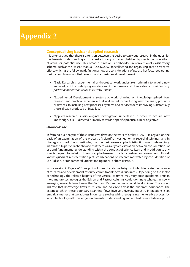## **Appendix 2**

### **Conceptualising basic and applied research**

It is often argued that there is a tension between the desire to carry out research in the quest for fundamental understanding and the desire to carry out research driven by specific considerations of actual or potential use. This broad distinction is embedded in conventional classificatory schema, such as the Frascati Manual, (OECD, 2002) for collecting and organising data on research efforts which as the following definitions show use considerations of use as a key factor separating basic research from applied research and experimental development.

- "Basic Research is experimental or theoretical work undertaken primarily to acquire new knowledge of the underlying foundations of phenomena and observable facts, *without any particular application or use in view*" (our italics)
- "Experimental Development is systematic work, drawing on knowledge gained from research and practical experience that is directed to producing new materials, products or devices, to installing new processes, systems and services; or to improving substantially those already produced or installed."
- "Applied research is also original investigation undertaken in order to acquire new knowledge. It is … directed primarily towards a specific practical aim or objective."

#### *Source: (OECD, 2002)*

In framing our analysis of these issues we draw on the work of Stokes (1997). He argued on the basis of an examination of the process of scientific investigation in several disciplines, and in biology and medicine in particular, that the basic versus applied distinction was fundamentally inaccurate. In particular he showed that there was a dynamic iteration between considerations of use and fundamental understanding within the conduct of science itself and in addition to any specific request for mission driven or applied research made by business or government. His well known quadrant representation plots combinations of research motivated by consideration of use (Edison) or fundamental understanding (Bohr) or both (Pasteur).

In our version in Figure A2.1 we plot columns the relative heights of which indicate the balance of research and development resource commitments across quadrants. Depending on the sector or technology the relative heights of the vertical columns may vary cross quadrants. Thus in more mature technologies the Edison and Pasteur columns could dominate whereas in newly emerging research based areas the Bohr and Pasteur columns could be dominant. The arrows indicate that knowledge flows must, can, and do circle across the quadrant boundaries. The extent to which these boundary spanning flows involve university industry interactions is an empirical matter that we address in our case studies whilst recognising the iterative process by which technological knowledge fundamental understanding and applied research develop.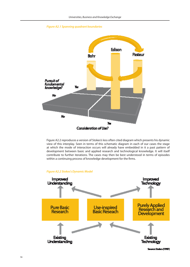



Figure A2.2 reproduces a version of Stokes's less often cited diagram which presents his dynamic view of this interplay. Seen in terms of this schematic diagram in each of our cases the stage at which the mode of interaction occurs will already have embedded in it a past pattern of development between basic and applied research and technological knowledge. It will itself contribute to further iterations. The cases may then be best understood in terms of episodes within a continuing process of knowledge development for the firms.

### *Figure A2.2 Stokes's Dynamic Model*

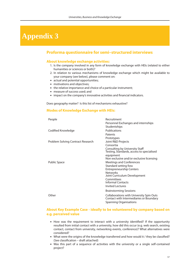## **Appendix 3**

### **Proforma questionnaire for semi–structured interviews**

### **About knowledge exchange activities:**

- 1. Is the company involved in any form of knowledge exchange with HEIs (related to either humanities or sciences or both)?
- 2. In relation to various mechanisms of knowledge exchange which might be available to your company (see below), please comment on:
- actual and potential opportunities;
- motivations and objectives;
- the relative importance and choice of a particular instrument;
- measure of success used; and
- **EXECT:** impact on the company's innovative activities and financial indicators.

Does geography matter? Is this list of mechanisms exhaustive?

### **Modes of Knowledge Exchange with HEIs:**

| Recruitment                               |
|-------------------------------------------|
| Personnel Exchanges and internships       |
| Studentships                              |
| Publications                              |
| Patents                                   |
| Prototypes                                |
| Joint R&D Projects                        |
| Consortia                                 |
| Consulting by University Staff            |
| Testing, Standards, access to specialised |
| equipment                                 |
| Non exclusive and/or exclusive licensing  |
| <b>Meetings and Conferences</b>           |
| Standard setting fora                     |
| <b>Entrepreneurship Centers</b>           |
| <b>Networks</b>                           |
| Joint Curriculum Development              |
| Committees<br><b>Informal Contacts</b>    |
| <b>Invited Lectures</b>                   |
|                                           |
| <b>Brainstorming Sessions</b>             |
| Collaborations with University Spin Outs  |
| Contact with Intermediaries or Boundary   |
| <b>Spanning Organisations</b>             |
|                                           |

### **About Key Example Case - ideally to be volunteered by company based on e.g. perceived value**

- **.** How was the requirement to interact with a university identified? If the opportunity resulted from initial contact with a university, how did this occur (e.g. web search, existing contact, contact from university, networking events, conference)? What alternatives were considered?
- What were the origins of the knowledge transferred and how would it / they be classified? (See classification – draft attached)
- . Was this part of a sequence of activities with the university or a single self-contained project?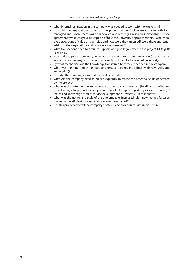- What internal justification in the company was needed to work with the university?
- How did the negotiations to set up the project proceed? How were the negotiations managed and, where there was a financial component (e.g. a research sponsorship, licence agreement) what was your perception of how the university approached this? What were the perceptions of value on each side and how were they assessed? Were there any issues arising in the negotiations and how were they resolved?
- What transactions need to occur to support and give legal effect to the project KT (e.g. IP licensing)?
- **How did the project proceed, i.e. what was the nature of the interaction (e.g. academic** working in a company, work done in university with results transferred via report)?
- By what mechanism did the knowledge transferred become embedded in the company?
- . What was the nature of the embedding (e.g. certain key individuals with new skills and knowledge)?
- How did the company know that this had occurred?
- . What did the company need to do subsequently to realise the potential value generated by the project?
- . What was the nature of the impact upon the company value chain (i.e. direct contribution of technology to product development, manufacturing or logistics process, upskilling / increasing knowledge of staff, service development)? How easy is it to identify?
- What was the nature and scale of the outcome (e.g. increased sales, new market, faster to market, more efficient process) and how was it evaluated?
- Has this project affected the company's potential to collaborate with universities?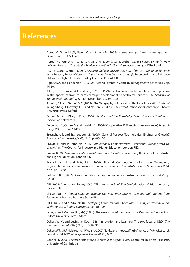## **References**

Abreu, M., Grinevich, V., Kitson, M. and Savona, M. (2008a) *Absorptive capacity and regional patterns of innovation*, DIUS, London

Abreu, M., Grinevich, V., Kitson, M. and Savona, M. (2008b) *Taking services seriously: How policymakers can stimulate the 'hidden innovation' in the UK's service economy.* NESTA, London

Adams, J. and D. Smith (2004), *Research and Regions: An Overview of the Distribution of Research in UK Regions, Regional Research Capacity and Links between Strategic Research Partners,* Evidence Ltd for the Higher Education Policy Institute. Oxford, UK.

Agrawal, A. and Henderson, R. (2002), 'Putting Patents in Context', *Management Science* 48(1), pp. 44-60.

Allen, T. J., Tushman, M. L. and Lee, D. M. S. (1979), "Technology transfer as a function of position in the spectrum from research through development to technical services", *The Academy of Management Journal*, V. 22, N. 4, December, pp. 694-708

Asheim, B.T. and Gertler, M.S. (2005), 'The Geography of Innovation: Regional Innovation Systems' in Fagerberg, J. Mowery, D.C. and Nelson, R.R (Eds), *The Oxford Handbook of Innovation,* Oxford University Press, Oxford.

Boden, M. and Miles, I. (Eds) (2000), *Services and the Knowledge Based Economy Continuum*, London and New York.

Belberbos, R., Carree, M and Lokshin, B. (2004) "Cooperative R&D and firm performance", *Research Policy*, V.33, pp. 1477-1492

Bresnahan, T. and Trajtenberg, M. (1995), 'General Purpose Technologies; Engines of Growth?' *Journal of Econometrics,* V. 65, No 1, pp 83-108.

Brown, R. and P. Ternouth (2006), *International Competitiveness: Businesses Working with UK Universities.* The Council for Industry and Higher Education. London, UK.

Brown, R (2007) *International Competitiveness and the role of universities,* The Council for Industry and Higher Education. London, UK

Brynjolfsson, E. and Hitt, L.M. (2000), 'Beyond Computation: Information Technology, Organisational Transformation and Business Performance, *Journal of Economic Perspectives* V. 14, No 4, pp. 23-48.

Butchart, R.L. (1987). A new definition of high technology industries. *Economic Trends* 400, pp. 82-88.

CBI (2005), 'Innovation Survey 2005' CBI Innovation Brief. The Confederation of British Industry. London, UK.

Chesbrough, H. (2003) *Open Innovation: The New Imperative for Creating and Proting from Technology*, Harvard Business School Press

CIHE, NCGE and NESTA (2008) *Developing Entrepreneurial Graduates: putting entrepreneurship at the centre of higher education,* London, UK

Cook, P. and Morgan, K. (Eds) (1998), *The Associational Economy: Firms Regions and Innovation*, Oxford University Press, Oxford.

Cohen, W. M. and Levinthal, D.A. (1989) "Innovation and Learning: The two faces of R&D", *The Economic Journal*, V.99 (397), pp 569-596

Cohen, W.M., R.R Nelson and J.P. Walsh, (2002), "Links and Impacts: The Influence of Public Research on Industrial R&D", *Management Science* 48 (1), 1-23.

Connell, D 2006, *Secrets of the Worlds Largest Seed Capital Fund,* Centre for Business Research, University of Cambridge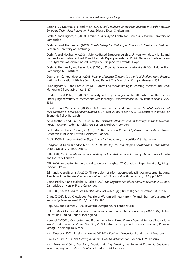Corona, C., Doutriaux, J. and Mian, S.A. (2006), *Building Knowledge Regions in North America: Emerging Technology Innovation Poles*. Edward Elgar, Cheltenham.

Cosh, A. and Hughes, A. (2003) *Enterprise Challenged*, Centre for Business Research, University of Cambridge

Cosh, A. and Hughes, A. (2007), *British Enterprise: Thriving or Surviving?,* Centre for Business Research, University of Cambridge

Cosh, A. and Hughes, A. (2008), 'Science-Based Entrepreneurship: University-Industry Links and Barriers to Innovation in the UK and the USA', Paper presented at PRIME Network Conference on 'The Dynamics of science-based Entrepreneurship', Sestri-Levante, 1 April.

Cosh, A., Hughes A., and Lester R. K. (2006), *U.K. plc: Just How Innovative Are We?* Cambridge, U.K.: Cambridge-MIT Institute.

Council on Competitiveness (2005) *Innovate America. Thriving in a world of challenge and change*. National Innovation Initiative Summit and Report, The Council on Competitiveness, USA

Cunningham M.T. and Homse (1986), E. Controlling the Marketing Purchasing Interface, Industrial Marketing & Purchasing 1 (2), 3-27

D'Este, P. and Patel, P. (2007) 'University-Industry Linkages in the UK: What are the factors underlying the variety of interactions with industry?', *Research Policy.* vol. 36, issue 9, pages 1295- 1313

David, P. and Metcalfe, S. (2008), *Only Connect: Academic-Business Research Collaborations and the Formation of Ecologies of Innovation,* SIEPR Discussion Paper No. 07-33, Stanford Institute For Economic Policy Research

de la Mothe, J and Link, A.N. (Eds) (2002), *Networks Alliances and Partnerships in the Innovation Process.* Kluwer Academic Publishers Boston, Dordrecht, London.

de la Mothe, J and Paquet, G. (Eds) (1998), *Local and Regional Systems of Innovation* .Kluwer Academic Publishers Boston, Dordrecht, London.

DIUS (2008), *Innovation Nation, Department for Innovation*, Universities & Skills: London

Dodgson, M. Gann, D. and Salter, A. (2005), *Think, Play, Do; Technology, Innovation and Organization.* Oxford University Press, Oxford.

DTI (1998), *Our Competitive Future - Building the Knowledge Driven Economy*, Department of Trade and Industry, London

DTI (2006) Innovation in the UK: Indicators and Insights, DTI Occasional Paper No. 6, July, 75 pp, London, HMSO.

Edmunds, A. and Morris, A. (2000) "The problem of information overload in business organisations: A review of the literature", *International Journal of Information Management*, V.20, pp. 17-20

Gambardella, A and Malerba, F. (Eds). (1999), *The Organization of Economic Innovation in Europe,*  Cambridge University Press, Cambridge.

Gill, 2008, *Geese Asked to Consider the Value of Golden Eggs,* Times Higher Education 1,838, p 16

Grant (2008), Tacit Knowledge Revisited: We can still learn from Polanyi, *Electronic Journal of Knowledge Management,* Vol 5,2, pp 173 -180.

Hague, D. and Holmes C. (2006) 'Oxford Entrepreneurs.' London: CIHE.

HEFCE (2006), Higher education-business and community interaction survey 2003-2004, Higher Education Funding Council for England.

Hempel, T (2006), "Computers and Productivity: How Firms Make a General Purpose Technology Work", *ZEW Economic Studies* Vol. 33 , ZEW Centre for European Economic Research, Physica-Verlag Heidelberg, New York.

H.M. Treasury (2001), *Productivity in the UK: 3-The Regional Dimension*, London: H.M. Treasury.

H.M. Treasury (2003), *Productivity in the UK: 4-The Local Dimension*, London: H.M. Treasury.

H.M. Treasury (2004), *Devolving Decision Making: Meeting the Regional Economic Challenge: Increasing regional and local exibility*, London: H.M. Treasury.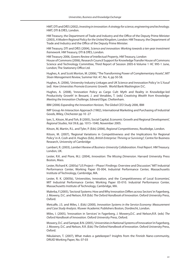HMT, DTI and DfES (2002), *Investing in innovation: A strategy for science, engineering and technology*. HMT, DTI & DfES, London.

HM Treasury, the Department of Trade and Industry and the Office of the Deputy Prime Minister (2003), *A Modern Regional Policy for the United Kingdom*, London: HM Treasury, the Department of Trade and Industry and the Office of the Deputy Prime Minister.

HM Treasury, DTI and DfES (2004), *Science and innovation: Working towards a ten-year investment framework*. HM Treasury, DTI & DfES, London.

HM Treasury 2006, *Gowers Review of Intellectual Property*, HM Treasury, London House of Commons (2006), Research Council Support for Knowledge Transfer House of Commons Science and Technology Committee, Third Report of Session 2005-6 Volume 1 HC 995-1 June, London; The Stationery Office Ltd.

Hughes, A. and Scott Morton, M. (2006), "The Transforming Power of Complementary Assets", *MIT Sloan Management Review,* Summer Vol. 47, No. 4, pp 50-58.

Hughes, A. (2006), 'University-Industry Linkages and UK Science and Innovation Policy' in S.Yusuf (ed) *How Universities Promote Economic Growth.* World Bank Washington D.C.

Hughes, A. (2008), 'Innovation Policy as Cargo Cult: Myth and Reality in Knowledge-led Productivity Growth' in Bessant, J. and Venables, T. (eds) *Creativing Wealth from Knowledge: Meeting the Innovation Challenge*, Edward Elgar, Cheltenham.

IBM (2006) *Expanding the Innovation Horizon, The Global CEO Study 2006*, IBM

IMP Group An Interaction Approach (1982), International Marketing and Purchasing of Industrial Goods, Wiley, Chichester pp 10 -27

Iyer, S., Kitson, M.and Toh, B (2005), Social Capital, Economic Growth and Regional Development', *Regional Studies*, Vol 39.8, pp. 1015–1040, November 2005.

Kitson, M, Martin, R.L. and Tyler, P. (Eds) (2006), *Regional Competitiveness*, Routledge, London.

Kitson, M. (2007), 'Regional Variations in Competitiveness and the Implications for Regional Policy' in A. Cosh and A. Hughes (Eds), *British Enterprise: Thriving or Surviving?,* Centre for Business Research, University of Cambridge

Lambert, R. (2003), *Lambert Review of Business-University Collaboration. Final Report*. HM Treasury. London, UK.

Lester, R.K. and Piore, M.J. (2004), *Innovation: The Missing Dimension*. Harvard University Press Boston, Mass.

Lester, Richard K. (2005a) "LIS Project—Phase I Findings: Overview and Discussion." MIT Industrial Performance Center, Working Paper 05-004, Industrial Performance Center, Massachusetts Institute of Technology, Cambridge, MA.

Lester, R. K. (2005b), 'Universities, Innovation, and the Competitiveness of Local Economies', MIT Industrial Performance Center, Working Paper 05-010. Industrial Performance Center, Massachusetts Institute of Technology, Cambridge, MA.

Malerba, F.(2005), 'Sectoral Systems: How and Why Innovation Differs across Sectors' in Fagerberg, J. Mowery, D.C. and Nelson, R.R (Eds) *The Oxford Handbook of Innovation*. Oxford University Press, Oxford.

Metcalfe, J.S. and Miles, I. (Eds) (2000), *Innovation Systems in the Service Economy: Measurement and Case Study Analysis.* Kluwer Academic Publishers Boston, Dordrecht, London.

Miles, I. (2005), 'Innovation in Services' in Fagerberg, J. Mowery,D.C. and Nelson,R.R. (eds) *The Oxford Handbook of Innovation.* Oxford University Press, Oxford.

Mowery, D.C. and Sampat, B.N. (2005), 'Universities in National Systems of Innovation' in Fagerberg, J. Mowery, D.C. and Nelson, R.R. (Eds) *The Oxford Handbook of Innovation.* Oxford University Press, Oxford.

Nikulainen, T. (2007), What makes a gatekeeper? Insights from the Finnish Nano-community, DRUID Working Paper, No. 07-03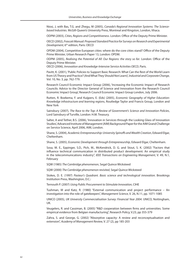Niosi, J, with Bas, T.G. and Zhegu, M (2005), *Canada's Regional Innovation Systems: The Sciencebased Industries.* McGill-Queen's University Press, Montreal and Kingston, London, Ithaca.

ODPM (2003), *Cities, Regions and Competitiveness*. London: Office of the Deputy Prime Minister.

OECD (2002), *Frascati Manual: Proposed Standard Practice for Surveys on Research and Experimental Development,* 6th edition, Paris: OECD

OPDM (2004), Competitive European cities: where do the core cities stand? Office of the Deputy Prime Minister, Urban Research Paper 13, London: OPDM.

ODPM (2005), *Realising the Potential of All: Our Regions: the story so far*. London: Office of the Deputy Prime Minister.

OECD (2006), *Innovation and Knowledge-Intensive Service Activities OECD*, Paris.

Pavitt, K. (2001), 'Public Policies to Support Basic Research: What Can the Rest of the World Learn from US Theory and Practice? (And What They Should Not Learn)', *Industrial and Corporate Change,*  Vol. 10, No. 3, pp. 762-779.

Research Council Economic Impact Group (2006), 'Increasing the Economic Impact of Research Councils: Advice to the Director General of Science and Innovation from the Research Council Economic Impact Group', Research Council Economic Impact Group London, July 2006.

Rutten, R. Boekema, F. and Kuijpers, E. (Eds) (2005), *Economic Geography of Higher Education: Knowledge infrastructure and learning regions*, Routledge Taylor and Francis Group, London and New York

Sainsbury (2007), *The Race to the Top: A Review of Government's Science and Innovation Policies*, Lord Sainsbury of Turville, London: H.M. Treasury.

Salter, A and Tether, B.S. (2006), 'Innovation in Services through the Looking Glass of Innovation Studies', Advanced Institute of Management (AIM) Background Paper for the AIM Grand Challenge on Service Science, April 2006, AIM, London.

Shane, S. (2004), *Academic Entrepreneurship: University Spinos and Wealth Creation*, Edward Elgar, Cheltenham.

Shane, S. (2005), *Economic Development through Entrepreneurship*, Edward Elgar, Cheltenham.

Sosa, M. E., Eppinger, S.D., Pich, M., McKendrick, D. G. and Stout, S. K. (2002) "Factors that influence technical communication in distributed product development: An empirical study in the telecommunications industry", *IEEE Transactions on Engineering Management*, V. 49, N.1, February

SQW (1985) *The Cambridge phenomenon*, Segal Quince Wicksteed

SQW (2000) *The Cambridge phenomenon revisited*, Segal Quince Wicksteed

Stokes, D. E. (1997) *Pasteur's Quadrant. Basic science and technological innovation.* Brookings Institution Press, Washington, D.C.:

Ternouth P. (2007) *Using Public Procurement to Stimulate Innovation,* CIHE

Tushman, M and Katz, R. (1980) "External communication and project performance – An investigation into the role of gatekeepers", *Management Science*, V. 26, N.11, pp. 1071-1085

UNICO (2005), *UK University Commercialisation Survey: Financial Year 2004*. UNICO, Nottingham, UK.

Veugelers, R. and Cassiman, B. (2005) "R&D cooperation between firms and universities. Some empirical evidence from Belgian manufacturing", Research Policy, V.23, pp 355-379

Zahra, S. and George, G. (2002) "Absorptive capacity: A review and reconceptualisation and extension", *Academy of Management Review*, V. 27 (2), pp 185-203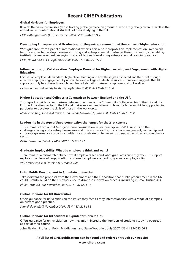### **Recent CIHE Publications**

### **Global Horizons for Employers**

Reveals the value businesses (those trading globally) place on graduates who are globally aware as well as the added value to international students of their studying in the UK.

*CIHE with i-graduate (£10) September 2008 ISBN 1 874223 74 2*

### **Developing Entrepreneurial Graduates: putting entrepreneurship at the centre of higher education**

With guidance from a panel of international experts, this report proposes an Implementation Framework for universities to develop more enterprising and entrepreneurial graduates through creating an enabling institutional environment, engaging stakeholders and developing entrepreneurial teaching practices.

*CIHE, NESTA and NCGE September 2008 ISBN 978 1 84875 027 2*

### **Influence through Collaboration: Employer Demand for Higher Learning and Engagement with Higher Education**

Focuses on employer demands for higher level learning and how these get articulated and then met through effective employer engagement by universities and colleges. It identifies success stories and suggests that HE supply can only be achieved through genuine collaboration between employers and universities.

*Helen Connor and Wendy Hirsh (£6) September 2008 ISBN 1 874223 73 4*

### **Higher Education and Colleges: a Comparison between England and the USA**

This report provides a comparison between the roles of the Community College sector in the US and the Further Education sector in the UK and makes recommendations on how the latter might be supported in particular to develop the skills of those in the workforce.

*Madeleine King, John Widdowson and Richard Brown (£6) June 2008 ISBN 1 874223 70 X*

### **Leadership in the Age of Supercomplexity: challenges for the 21st century**

This summary from our St George's House consultation in partnership with SRHE reports on the challenges facing 21st century businesses and universities as they consider management, leadership and corporate governance and opportunities for cross-learning between business, universities and the charity sector.

*Keith Herrmann (£6) May 2008 ISBN 1 874223 69 6*

### **Graduate Employability: What do employers think and want?**

There remains a mismatch between what employers seek and what graduates currently offer. This report explores the views of large, medium and small employers regarding graduate employability.

*Will Archer and Jess Davison (£6) March 2008*

### **Using Public Procurement to Stimulate Innovation**

Takes forward the proposal from the Government and the Opposition that public procurement in the UK could usefully build on the US experience to drive the innovation process, including in small businesses. *Philip Ternouth (£6) November 2007, ISBN 1 87422 67 X* 

### **Global Horizons for UK Universities**

Offers guidance for universities on the issues they face as they internationalise with a range of examples on current good practice.

*John Fielden (£10) November 2007, ISBN 1 874223 68 8*

### **Global Horizons for UK Students: A guide for Universities**

Offers guidance for universities on how they might increase the numbers of students studying overseas as part of their course.

John Fielden, Professor Robin Middlehurst and Steve Woodfield July 2007, ISBN 1 874223 66 1

### **A full list of CIHE publications can be found and ordered through our website**

**www.cihe-uk.com**